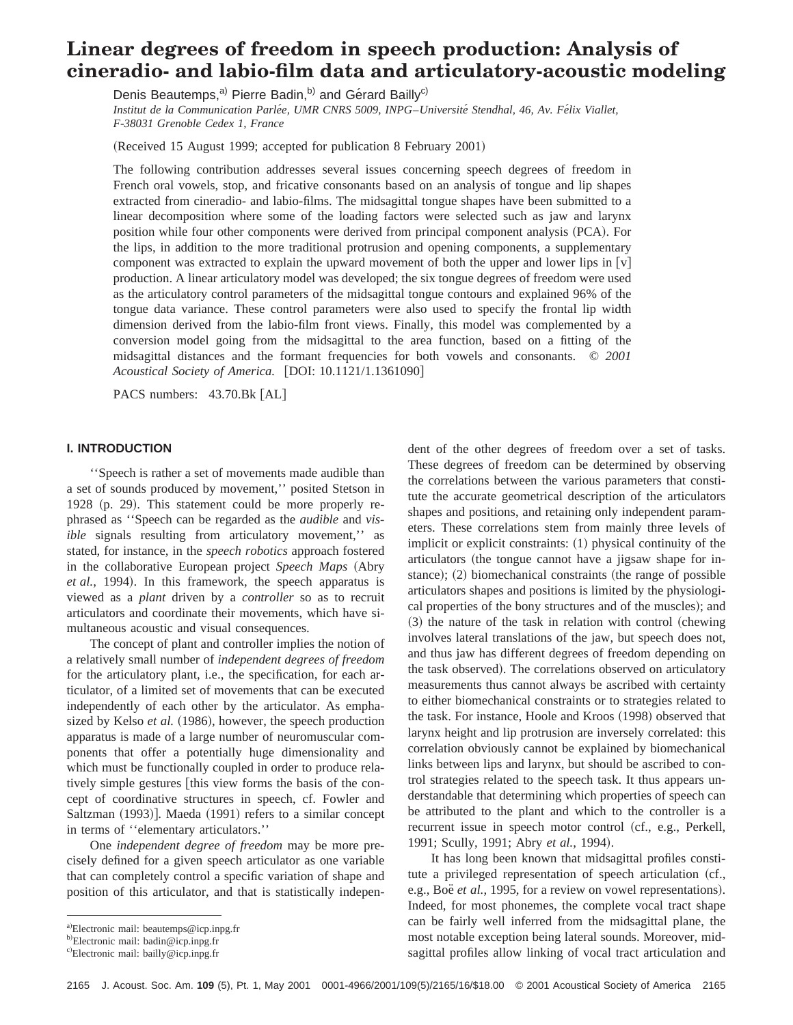# **Linear degrees of freedom in speech production: Analysis of cineradio- and labio-film data and articulatory-acoustic modeling**

Denis Beautemps,<sup>a)</sup> Pierre Badin,<sup>b)</sup> and Gérard Bailly<sup>c)</sup> *Institut de la Communication Parle´e, UMR CNRS 5009, INPG*–*Universite´ Stendhal, 46, Av. Fe´lix Viallet, F-38031 Grenoble Cedex 1, France*

 $(Received 15 August 1999; accepted for publication 8 February 2001)$ 

The following contribution addresses several issues concerning speech degrees of freedom in French oral vowels, stop, and fricative consonants based on an analysis of tongue and lip shapes extracted from cineradio- and labio-films. The midsagittal tongue shapes have been submitted to a linear decomposition where some of the loading factors were selected such as jaw and larynx position while four other components were derived from principal component analysis (PCA). For the lips, in addition to the more traditional protrusion and opening components, a supplementary component was extracted to explain the upward movement of both the upper and lower lips in  $[v]$ production. A linear articulatory model was developed; the six tongue degrees of freedom were used as the articulatory control parameters of the midsagittal tongue contours and explained 96% of the tongue data variance. These control parameters were also used to specify the frontal lip width dimension derived from the labio-film front views. Finally, this model was complemented by a conversion model going from the midsagittal to the area function, based on a fitting of the midsagittal distances and the formant frequencies for both vowels and consonants. © *2001 Acoustical Society of America.* [DOI: 10.1121/1.1361090]

PACS numbers: 43.70.Bk [AL]

#### **I. INTRODUCTION**

''Speech is rather a set of movements made audible than a set of sounds produced by movement,'' posited Stetson in 1928 (p. 29). This statement could be more properly rephrased as ''Speech can be regarded as the *audible* and *visible* signals resulting from articulatory movement,'' as stated, for instance, in the *speech robotics* approach fostered in the collaborative European project *Speech Maps* (Abry et al., 1994). In this framework, the speech apparatus is viewed as a *plant* driven by a *controller* so as to recruit articulators and coordinate their movements, which have simultaneous acoustic and visual consequences.

The concept of plant and controller implies the notion of a relatively small number of *independent degrees of freedom* for the articulatory plant, i.e., the specification, for each articulator, of a limited set of movements that can be executed independently of each other by the articulator. As emphasized by Kelso *et al.* (1986), however, the speech production apparatus is made of a large number of neuromuscular components that offer a potentially huge dimensionality and which must be functionally coupled in order to produce relatively simple gestures [this view forms the basis of the concept of coordinative structures in speech, cf. Fowler and Saltzman (1993)]. Maeda (1991) refers to a similar concept in terms of ''elementary articulators.''

One *independent degree of freedom* may be more precisely defined for a given speech articulator as one variable that can completely control a specific variation of shape and position of this articulator, and that is statistically independent of the other degrees of freedom over a set of tasks. These degrees of freedom can be determined by observing the correlations between the various parameters that constitute the accurate geometrical description of the articulators shapes and positions, and retaining only independent parameters. These correlations stem from mainly three levels of implicit or explicit constraints:  $(1)$  physical continuity of the articulators (the tongue cannot have a jigsaw shape for instance);  $(2)$  biomechanical constraints (the range of possible articulators shapes and positions is limited by the physiological properties of the bony structures and of the muscles); and  $(3)$  the nature of the task in relation with control (chewing involves lateral translations of the jaw, but speech does not, and thus jaw has different degrees of freedom depending on the task observed). The correlations observed on articulatory measurements thus cannot always be ascribed with certainty to either biomechanical constraints or to strategies related to the task. For instance, Hoole and Kroos (1998) observed that larynx height and lip protrusion are inversely correlated: this correlation obviously cannot be explained by biomechanical links between lips and larynx, but should be ascribed to control strategies related to the speech task. It thus appears understandable that determining which properties of speech can be attributed to the plant and which to the controller is a recurrent issue in speech motor control (cf., e.g., Perkell, 1991; Scully, 1991; Abry *et al.*, 1994).

It has long been known that midsagittal profiles constitute a privileged representation of speech articulation (cf., e.g., Boë *et al.*, 1995, for a review on vowel representations). Indeed, for most phonemes, the complete vocal tract shape can be fairly well inferred from the midsagittal plane, the most notable exception being lateral sounds. Moreover, midsagittal profiles allow linking of vocal tract articulation and

a)Electronic mail: beautemps@icp.inpg.fr

b)Electronic mail: badin@icp.inpg.fr

c)Electronic mail: bailly@icp.inpg.fr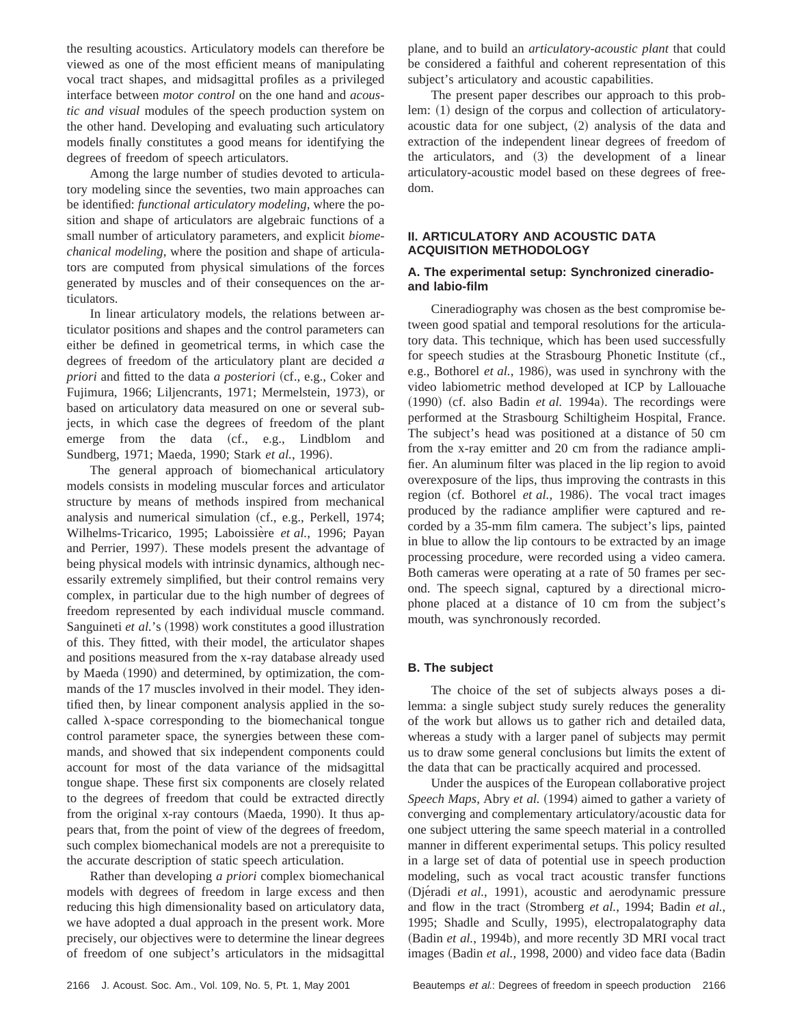the resulting acoustics. Articulatory models can therefore be viewed as one of the most efficient means of manipulating vocal tract shapes, and midsagittal profiles as a privileged interface between *motor control* on the one hand and *acoustic and visual* modules of the speech production system on the other hand. Developing and evaluating such articulatory models finally constitutes a good means for identifying the degrees of freedom of speech articulators.

Among the large number of studies devoted to articulatory modeling since the seventies, two main approaches can be identified: *functional articulatory modeling*, where the position and shape of articulators are algebraic functions of a small number of articulatory parameters, and explicit *biomechanical modeling*, where the position and shape of articulators are computed from physical simulations of the forces generated by muscles and of their consequences on the articulators.

In linear articulatory models, the relations between articulator positions and shapes and the control parameters can either be defined in geometrical terms, in which case the degrees of freedom of the articulatory plant are decided *a priori* and fitted to the data *a posteriori* (cf., e.g., Coker and Fujimura, 1966; Liljencrants, 1971; Mermelstein, 1973), or based on articulatory data measured on one or several subjects, in which case the degrees of freedom of the plant emerge from the data (cf., e.g., Lindblom and Sundberg, 1971; Maeda, 1990; Stark et al., 1996).

The general approach of biomechanical articulatory models consists in modeling muscular forces and articulator structure by means of methods inspired from mechanical analysis and numerical simulation (cf., e.g., Perkell, 1974; Wilhelms-Tricarico, 1995; Laboissière et al., 1996; Payan and Perrier, 1997). These models present the advantage of being physical models with intrinsic dynamics, although necessarily extremely simplified, but their control remains very complex, in particular due to the high number of degrees of freedom represented by each individual muscle command. Sanguineti et al.'s (1998) work constitutes a good illustration of this. They fitted, with their model, the articulator shapes and positions measured from the x-ray database already used by Maeda  $(1990)$  and determined, by optimization, the commands of the 17 muscles involved in their model. They identified then, by linear component analysis applied in the socalled  $\lambda$ -space corresponding to the biomechanical tongue control parameter space, the synergies between these commands, and showed that six independent components could account for most of the data variance of the midsagittal tongue shape. These first six components are closely related to the degrees of freedom that could be extracted directly from the original x-ray contours (Maeda, 1990). It thus appears that, from the point of view of the degrees of freedom, such complex biomechanical models are not a prerequisite to the accurate description of static speech articulation.

Rather than developing *a priori* complex biomechanical models with degrees of freedom in large excess and then reducing this high dimensionality based on articulatory data, we have adopted a dual approach in the present work. More precisely, our objectives were to determine the linear degrees of freedom of one subject's articulators in the midsagittal plane, and to build an *articulatory-acoustic plant* that could be considered a faithful and coherent representation of this subject's articulatory and acoustic capabilities.

The present paper describes our approach to this problem:  $(1)$  design of the corpus and collection of articulatoryacoustic data for one subject,  $(2)$  analysis of the data and extraction of the independent linear degrees of freedom of the articulators, and  $(3)$  the development of a linear articulatory-acoustic model based on these degrees of freedom.

## **II. ARTICULATORY AND ACOUSTIC DATA ACQUISITION METHODOLOGY**

## **A. The experimental setup: Synchronized cineradioand labio-film**

Cineradiography was chosen as the best compromise between good spatial and temporal resolutions for the articulatory data. This technique, which has been used successfully for speech studies at the Strasbourg Phonetic Institute (cf., e.g., Bothorel *et al.*, 1986), was used in synchrony with the video labiometric method developed at ICP by Lallouache  $(1990)$  (cf. also Badin *et al.* 1994a). The recordings were performed at the Strasbourg Schiltigheim Hospital, France. The subject's head was positioned at a distance of 50 cm from the x-ray emitter and 20 cm from the radiance amplifier. An aluminum filter was placed in the lip region to avoid overexposure of the lips, thus improving the contrasts in this region (cf. Bothorel *et al.*, 1986). The vocal tract images produced by the radiance amplifier were captured and recorded by a 35-mm film camera. The subject's lips, painted in blue to allow the lip contours to be extracted by an image processing procedure, were recorded using a video camera. Both cameras were operating at a rate of 50 frames per second. The speech signal, captured by a directional microphone placed at a distance of 10 cm from the subject's mouth, was synchronously recorded.

## **B. The subject**

The choice of the set of subjects always poses a dilemma: a single subject study surely reduces the generality of the work but allows us to gather rich and detailed data, whereas a study with a larger panel of subjects may permit us to draw some general conclusions but limits the extent of the data that can be practically acquired and processed.

Under the auspices of the European collaborative project *Speech Maps, Abry et al.* (1994) aimed to gather a variety of converging and complementary articulatory/acoustic data for one subject uttering the same speech material in a controlled manner in different experimental setups. This policy resulted in a large set of data of potential use in speech production modeling, such as vocal tract acoustic transfer functions (Djéradi *et al.*, 1991), acoustic and aerodynamic pressure and flow in the tract (Stromberg *et al.*, 1994; Badin *et al.*, 1995; Shadle and Scully, 1995), electropalatography data (Badin *et al.*, 1994b), and more recently 3D MRI vocal tract images (Badin et al., 1998, 2000) and video face data (Badin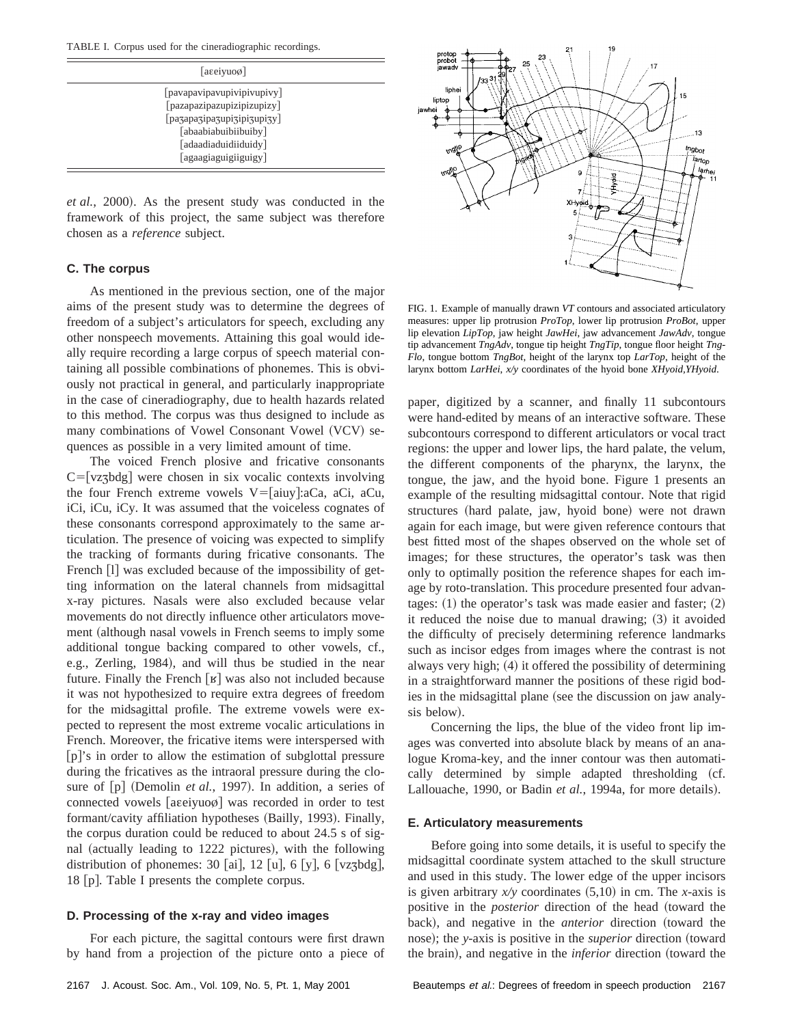TABLE I. Corpus used for the cineradiographic recordings.

| $ a\right $                                                                                                                                                    |  |
|----------------------------------------------------------------------------------------------------------------------------------------------------------------|--|
| [pavapavipavupivipivupivy]<br>[pazapazipazupizipizupizy]<br>[pa3apa3ipa3upi3ipi3upi3y]<br>[abaabiabuibiibuiby]<br>[adaadiaduidiiduidy]<br>[agaagiaguigiiguigy] |  |

*et al.*, 2000). As the present study was conducted in the framework of this project, the same subject was therefore chosen as a *reference* subject.

## **C. The corpus**

As mentioned in the previous section, one of the major aims of the present study was to determine the degrees of freedom of a subject's articulators for speech, excluding any other nonspeech movements. Attaining this goal would ideally require recording a large corpus of speech material containing all possible combinations of phonemes. This is obviously not practical in general, and particularly inappropriate in the case of cineradiography, due to health hazards related to this method. The corpus was thus designed to include as many combinations of Vowel Consonant Vowel (VCV) sequences as possible in a very limited amount of time.

The voiced French plosive and fricative consonants  $C = [vzz]$  were chosen in six vocalic contexts involving the four French extreme vowels  $V=[aiuy]:aCa, aCi, aCu,$ iCi, iCu, iCy. It was assumed that the voiceless cognates of these consonants correspond approximately to the same articulation. The presence of voicing was expected to simplify the tracking of formants during fricative consonants. The French [1] was excluded because of the impossibility of getting information on the lateral channels from midsagittal x-ray pictures. Nasals were also excluded because velar movements do not directly influence other articulators movement (although nasal vowels in French seems to imply some additional tongue backing compared to other vowels, cf., e.g., Zerling, 1984), and will thus be studied in the near future. Finally the French  $\lceil \frac{g}{g} \rceil$  was also not included because it was not hypothesized to require extra degrees of freedom for the midsagittal profile. The extreme vowels were expected to represent the most extreme vocalic articulations in French. Moreover, the fricative items were interspersed with  $[p]'s$  in order to allow the estimation of subglottal pressure during the fricatives as the intraoral pressure during the closure of [p] (Demolin *et al.*, 1997). In addition, a series of connected vowels [aɛeiyuoø] was recorded in order to test formant/cavity affiliation hypotheses (Bailly, 1993). Finally, the corpus duration could be reduced to about 24.5 s of signal (actually leading to  $1222$  pictures), with the following distribution of phonemes: 30 [ai], 12 [u], 6 [y], 6 [vz $\frac{1}{2}$ bdg], 18 [p]. Table I presents the complete corpus.

## **D. Processing of the x-ray and video images**

For each picture, the sagittal contours were first drawn by hand from a projection of the picture onto a piece of



FIG. 1. Example of manually drawn *VT* contours and associated articulatory measures: upper lip protrusion *ProTop*, lower lip protrusion *ProBot*, upper lip elevation *LipTop*, jaw height *JawHei*, jaw advancement *JawAdv*, tongue tip advancement *TngAdv*, tongue tip height *TngTip*, tongue floor height *Tng-Flo*, tongue bottom *TngBot*, height of the larynx top *LarTop*, height of the larynx bottom *LarHei*, *x/y* coordinates of the hyoid bone *XHyoid,YHyoid*.

paper, digitized by a scanner, and finally 11 subcontours were hand-edited by means of an interactive software. These subcontours correspond to different articulators or vocal tract regions: the upper and lower lips, the hard palate, the velum, the different components of the pharynx, the larynx, the tongue, the jaw, and the hyoid bone. Figure 1 presents an example of the resulting midsagittal contour. Note that rigid structures (hard palate, jaw, hyoid bone) were not drawn again for each image, but were given reference contours that best fitted most of the shapes observed on the whole set of images; for these structures, the operator's task was then only to optimally position the reference shapes for each image by roto-translation. This procedure presented four advantages:  $(1)$  the operator's task was made easier and faster;  $(2)$ it reduced the noise due to manual drawing;  $(3)$  it avoided the difficulty of precisely determining reference landmarks such as incisor edges from images where the contrast is not always very high;  $(4)$  it offered the possibility of determining in a straightforward manner the positions of these rigid bodies in the midsagittal plane (see the discussion on jaw analysis below).

Concerning the lips, the blue of the video front lip images was converted into absolute black by means of an analogue Kroma-key, and the inner contour was then automatically determined by simple adapted thresholding (cf. Lallouache, 1990, or Badin et al., 1994a, for more details).

#### **E. Articulatory measurements**

Before going into some details, it is useful to specify the midsagittal coordinate system attached to the skull structure and used in this study. The lower edge of the upper incisors is given arbitrary  $x/y$  coordinates  $(5,10)$  in cm. The *x*-axis is positive in the *posterior* direction of the head (toward the back), and negative in the *anterior* direction (toward the nose); the *y*-axis is positive in the *superior* direction (toward the brain), and negative in the *inferior* direction (toward the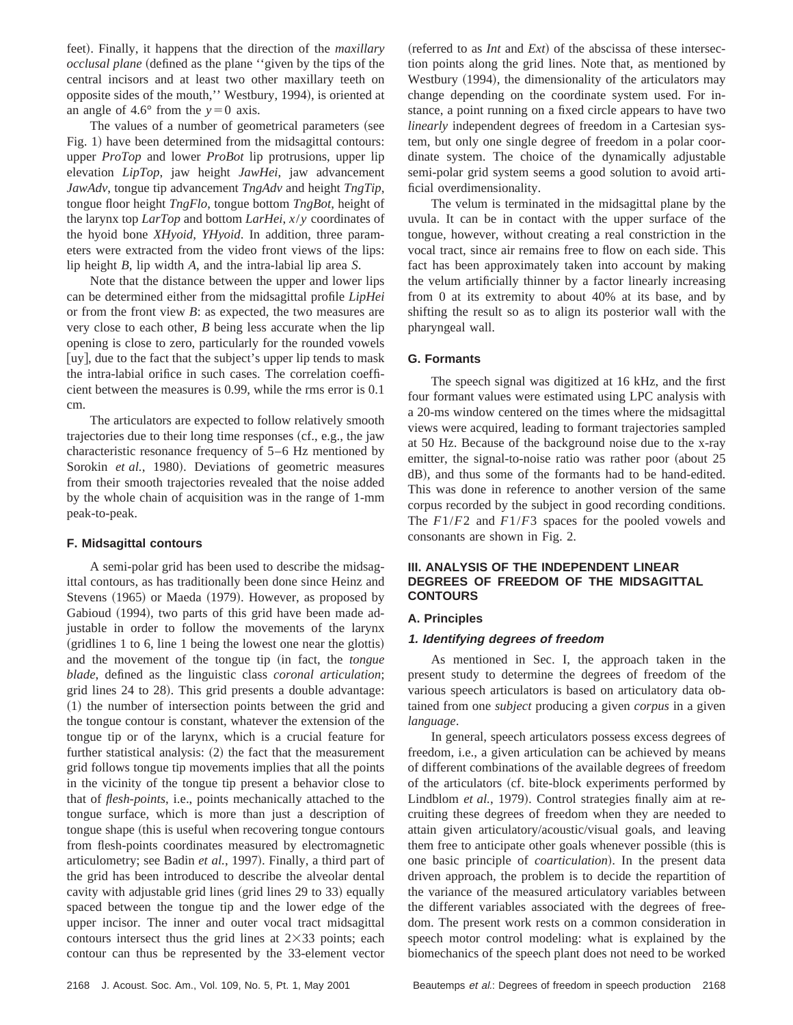feet). Finally, it happens that the direction of the *maxillary occlusal plane* (defined as the plane "given by the tips of the central incisors and at least two other maxillary teeth on opposite sides of the mouth," Westbury, 1994), is oriented at an angle of 4.6° from the  $y=0$  axis.

The values of a number of geometrical parameters (see Fig. 1) have been determined from the midsagittal contours: upper *ProTop* and lower *ProBot* lip protrusions, upper lip elevation *LipTop*, jaw height *JawHei*, jaw advancement *JawAdv*, tongue tip advancement *TngAdv* and height *TngTip*, tongue floor height *TngFlo*, tongue bottom *TngBot*, height of the larynx top *LarTop* and bottom *LarHei*, *x*/*y* coordinates of the hyoid bone *XHyoid*, *YHyoid*. In addition, three parameters were extracted from the video front views of the lips: lip height *B*, lip width *A*, and the intra-labial lip area *S*.

Note that the distance between the upper and lower lips can be determined either from the midsagittal profile *LipHei* or from the front view *B*: as expected, the two measures are very close to each other, *B* being less accurate when the lip opening is close to zero, particularly for the rounded vowels  $\lceil$ uy $\rceil$ , due to the fact that the subject's upper lip tends to mask the intra-labial orifice in such cases. The correlation coefficient between the measures is 0.99, while the rms error is 0.1 cm.

The articulators are expected to follow relatively smooth trajectories due to their long time responses  $(cf., e.g., the jaw$ characteristic resonance frequency of 5–6 Hz mentioned by Sorokin *et al.*, 1980). Deviations of geometric measures from their smooth trajectories revealed that the noise added by the whole chain of acquisition was in the range of 1-mm peak-to-peak.

#### **F. Midsagittal contours**

A semi-polar grid has been used to describe the midsagittal contours, as has traditionally been done since Heinz and Stevens (1965) or Maeda (1979). However, as proposed by Gabioud (1994), two parts of this grid have been made adjustable in order to follow the movements of the larynx  $(gridlines 1 to 6, line 1 being the lowest one near the glottis)$ and the movement of the tongue tip (in fact, the *tongue blade*, defined as the linguistic class *coronal articulation*; grid lines 24 to 28). This grid presents a double advantage:  $(1)$  the number of intersection points between the grid and the tongue contour is constant, whatever the extension of the tongue tip or of the larynx, which is a crucial feature for further statistical analysis:  $(2)$  the fact that the measurement grid follows tongue tip movements implies that all the points in the vicinity of the tongue tip present a behavior close to that of *flesh-points*, i.e., points mechanically attached to the tongue surface, which is more than just a description of tongue shape (this is useful when recovering tongue contours from flesh-points coordinates measured by electromagnetic articulometry; see Badin et al., 1997). Finally, a third part of the grid has been introduced to describe the alveolar dental cavity with adjustable grid lines (grid lines 29 to 33) equally spaced between the tongue tip and the lower edge of the upper incisor. The inner and outer vocal tract midsagittal contours intersect thus the grid lines at  $2\times33$  points; each contour can thus be represented by the 33-element vector

(referred to as  $Int$  and  $Ext$ ) of the abscissa of these intersection points along the grid lines. Note that, as mentioned by Westbury (1994), the dimensionality of the articulators may change depending on the coordinate system used. For instance, a point running on a fixed circle appears to have two *linearly* independent degrees of freedom in a Cartesian system, but only one single degree of freedom in a polar coordinate system. The choice of the dynamically adjustable semi-polar grid system seems a good solution to avoid artificial overdimensionality.

The velum is terminated in the midsagittal plane by the uvula. It can be in contact with the upper surface of the tongue, however, without creating a real constriction in the vocal tract, since air remains free to flow on each side. This fact has been approximately taken into account by making the velum artificially thinner by a factor linearly increasing from 0 at its extremity to about 40% at its base, and by shifting the result so as to align its posterior wall with the pharyngeal wall.

## **G. Formants**

The speech signal was digitized at 16 kHz, and the first four formant values were estimated using LPC analysis with a 20-ms window centered on the times where the midsagittal views were acquired, leading to formant trajectories sampled at 50 Hz. Because of the background noise due to the x-ray emitter, the signal-to-noise ratio was rather poor  $(about 25$ dB), and thus some of the formants had to be hand-edited. This was done in reference to another version of the same corpus recorded by the subject in good recording conditions. The *F*1/*F*2 and *F*1/*F*3 spaces for the pooled vowels and consonants are shown in Fig. 2.

# **III. ANALYSIS OF THE INDEPENDENT LINEAR DEGREES OF FREEDOM OF THE MIDSAGITTAL CONTOURS**

## **A. Principles**

#### **1. Identifying degrees of freedom**

As mentioned in Sec. I, the approach taken in the present study to determine the degrees of freedom of the various speech articulators is based on articulatory data obtained from one *subject* producing a given *corpus* in a given *language*.

In general, speech articulators possess excess degrees of freedom, i.e., a given articulation can be achieved by means of different combinations of the available degrees of freedom of the articulators (cf. bite-block experiments performed by Lindblom *et al.*, 1979). Control strategies finally aim at recruiting these degrees of freedom when they are needed to attain given articulatory/acoustic/visual goals, and leaving them free to anticipate other goals whenever possible (this is one basic principle of *coarticulation*!. In the present data driven approach, the problem is to decide the repartition of the variance of the measured articulatory variables between the different variables associated with the degrees of freedom. The present work rests on a common consideration in speech motor control modeling: what is explained by the biomechanics of the speech plant does not need to be worked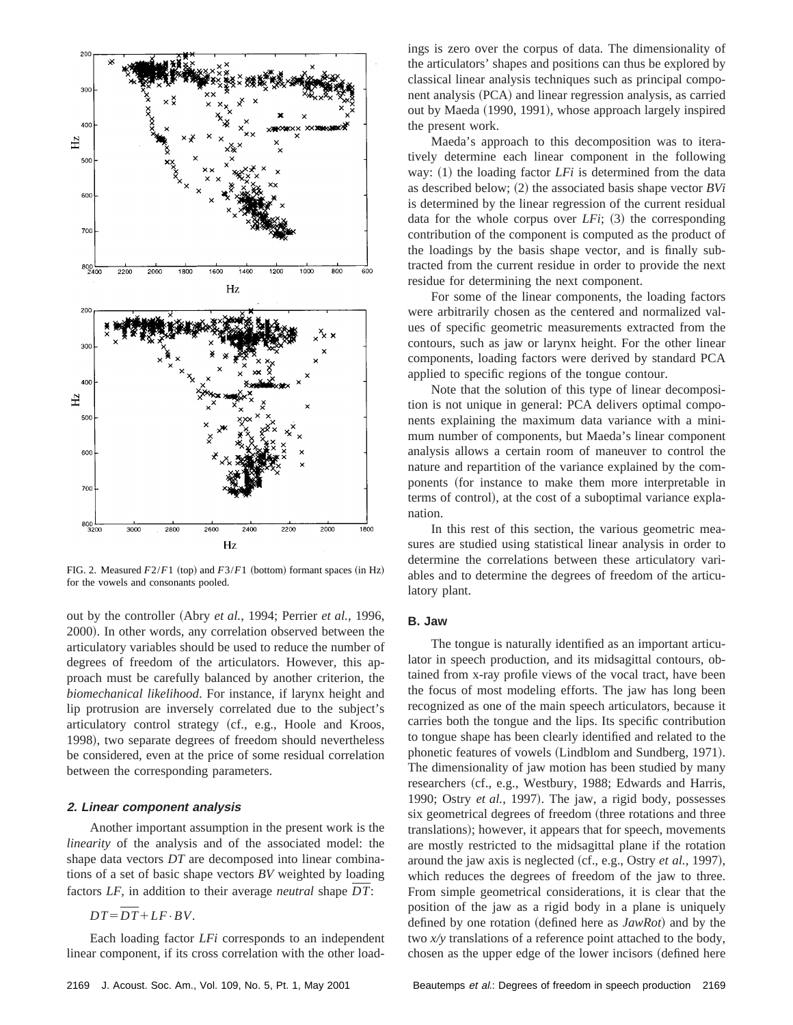

FIG. 2. Measured  $F2/F1$  (top) and  $F3/F1$  (bottom) formant spaces (in Hz) for the vowels and consonants pooled.

out by the controller (Abry *et al.*, 1994; Perrier *et al.*, 1996, 2000). In other words, any correlation observed between the articulatory variables should be used to reduce the number of degrees of freedom of the articulators. However, this approach must be carefully balanced by another criterion, the *biomechanical likelihood*. For instance, if larynx height and lip protrusion are inversely correlated due to the subject's articulatory control strategy (cf., e.g., Hoole and Kroos, 1998), two separate degrees of freedom should nevertheless be considered, even at the price of some residual correlation between the corresponding parameters.

#### **2. Linear component analysis**

Another important assumption in the present work is the *linearity* of the analysis and of the associated model: the shape data vectors *DT* are decomposed into linear combinations of a set of basic shape vectors *BV* weighted by loading factors *LF*, in addition to their average *neutral* shape *DT*:

 $DT=\overline{DT}+LF\cdot BV$ .

Each loading factor *LFi* corresponds to an independent linear component, if its cross correlation with the other loadings is zero over the corpus of data. The dimensionality of the articulators' shapes and positions can thus be explored by classical linear analysis techniques such as principal component analysis (PCA) and linear regression analysis, as carried out by Maeda (1990, 1991), whose approach largely inspired the present work.

Maeda's approach to this decomposition was to iteratively determine each linear component in the following way:  $(1)$  the loading factor *LFi* is determined from the data as described below;  $(2)$  the associated basis shape vector *BVi* is determined by the linear regression of the current residual data for the whole corpus over  $LFi$ ;  $(3)$  the corresponding contribution of the component is computed as the product of the loadings by the basis shape vector, and is finally subtracted from the current residue in order to provide the next residue for determining the next component.

For some of the linear components, the loading factors were arbitrarily chosen as the centered and normalized values of specific geometric measurements extracted from the contours, such as jaw or larynx height. For the other linear components, loading factors were derived by standard PCA applied to specific regions of the tongue contour.

Note that the solution of this type of linear decomposition is not unique in general: PCA delivers optimal components explaining the maximum data variance with a minimum number of components, but Maeda's linear component analysis allows a certain room of maneuver to control the nature and repartition of the variance explained by the components (for instance to make them more interpretable in terms of control), at the cost of a suboptimal variance explanation.

In this rest of this section, the various geometric measures are studied using statistical linear analysis in order to determine the correlations between these articulatory variables and to determine the degrees of freedom of the articulatory plant.

## **B. Jaw**

The tongue is naturally identified as an important articulator in speech production, and its midsagittal contours, obtained from x-ray profile views of the vocal tract, have been the focus of most modeling efforts. The jaw has long been recognized as one of the main speech articulators, because it carries both the tongue and the lips. Its specific contribution to tongue shape has been clearly identified and related to the phonetic features of vowels (Lindblom and Sundberg, 1971). The dimensionality of jaw motion has been studied by many researchers (cf., e.g., Westbury, 1988; Edwards and Harris, 1990; Ostry *et al.*, 1997). The jaw, a rigid body, possesses six geometrical degrees of freedom (three rotations and three translations); however, it appears that for speech, movements are mostly restricted to the midsagittal plane if the rotation around the jaw axis is neglected (cf., e.g., Ostry *et al.*, 1997), which reduces the degrees of freedom of the jaw to three. From simple geometrical considerations, it is clear that the position of the jaw as a rigid body in a plane is uniquely defined by one rotation (defined here as *JawRot*) and by the two *x/y* translations of a reference point attached to the body, chosen as the upper edge of the lower incisors (defined here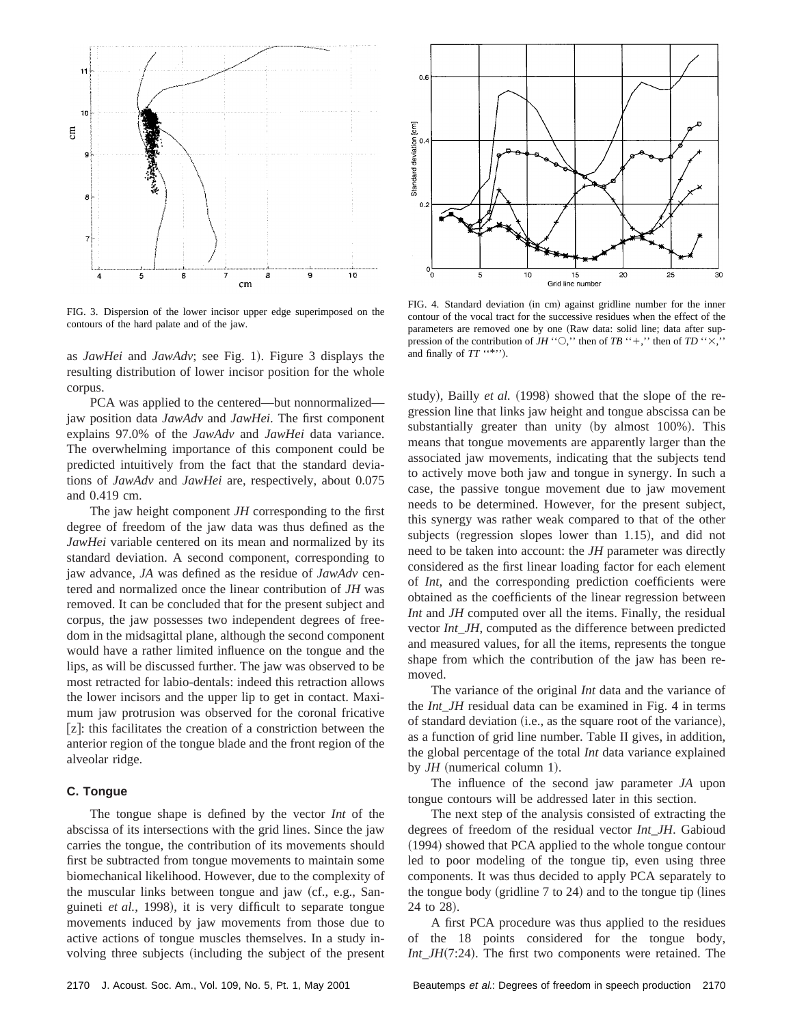

FIG. 3. Dispersion of the lower incisor upper edge superimposed on the contours of the hard palate and of the jaw.

as *JawHei* and *JawAdv*; see Fig. 1). Figure 3 displays the resulting distribution of lower incisor position for the whole corpus.

PCA was applied to the centered—but nonnormalized jaw position data *JawAdv* and *JawHei*. The first component explains 97.0% of the *JawAdv* and *JawHei* data variance. The overwhelming importance of this component could be predicted intuitively from the fact that the standard deviations of *JawAdv* and *JawHei* are, respectively, about 0.075 and 0.419 cm.

The jaw height component *JH* corresponding to the first degree of freedom of the jaw data was thus defined as the *JawHei* variable centered on its mean and normalized by its standard deviation. A second component, corresponding to jaw advance, *JA* was defined as the residue of *JawAdv* centered and normalized once the linear contribution of *JH* was removed. It can be concluded that for the present subject and corpus, the jaw possesses two independent degrees of freedom in the midsagittal plane, although the second component would have a rather limited influence on the tongue and the lips, as will be discussed further. The jaw was observed to be most retracted for labio-dentals: indeed this retraction allows the lower incisors and the upper lip to get in contact. Maximum jaw protrusion was observed for the coronal fricative  $[z]$ : this facilitates the creation of a constriction between the anterior region of the tongue blade and the front region of the alveolar ridge.

#### **C. Tongue**

The tongue shape is defined by the vector *Int* of the abscissa of its intersections with the grid lines. Since the jaw carries the tongue, the contribution of its movements should first be subtracted from tongue movements to maintain some biomechanical likelihood. However, due to the complexity of the muscular links between tongue and jaw (cf., e.g., Sanguineti *et al.*, 1998), it is very difficult to separate tongue movements induced by jaw movements from those due to active actions of tongue muscles themselves. In a study involving three subjects (including the subject of the present



FIG. 4. Standard deviation (in cm) against gridline number for the inner contour of the vocal tract for the successive residues when the effect of the parameters are removed one by one (Raw data: solid line; data after suppression of the contribution of *JH* " $\bigcirc$ ," then of *TB* "+," then of *TD* " $\times$ , and finally of  $TT$  ''\*'').

study), Bailly *et al.* (1998) showed that the slope of the regression line that links jaw height and tongue abscissa can be substantially greater than unity (by almost 100%). This means that tongue movements are apparently larger than the associated jaw movements, indicating that the subjects tend to actively move both jaw and tongue in synergy. In such a case, the passive tongue movement due to jaw movement needs to be determined. However, for the present subject, this synergy was rather weak compared to that of the other subjects (regression slopes lower than  $1.15$ ), and did not need to be taken into account: the *JH* parameter was directly considered as the first linear loading factor for each element of *Int*, and the corresponding prediction coefficients were obtained as the coefficients of the linear regression between *Int* and *JH* computed over all the items. Finally, the residual vector *Int\_JH*, computed as the difference between predicted and measured values, for all the items, represents the tongue shape from which the contribution of the jaw has been removed.

The variance of the original *Int* data and the variance of the *Int\_JH* residual data can be examined in Fig. 4 in terms of standard deviation (i.e., as the square root of the variance), as a function of grid line number. Table II gives, in addition, the global percentage of the total *Int* data variance explained by  $JH$  (numerical column 1).

The influence of the second jaw parameter *JA* upon tongue contours will be addressed later in this section.

The next step of the analysis consisted of extracting the degrees of freedom of the residual vector *Int\_JH*. Gabioud (1994) showed that PCA applied to the whole tongue contour led to poor modeling of the tongue tip, even using three components. It was thus decided to apply PCA separately to the tongue body (gridline  $7$  to  $24$ ) and to the tongue tip (lines 24 to 28).

A first PCA procedure was thus applied to the residues of the 18 points considered for the tongue body, *Int\_JH*(7:24). The first two components were retained. The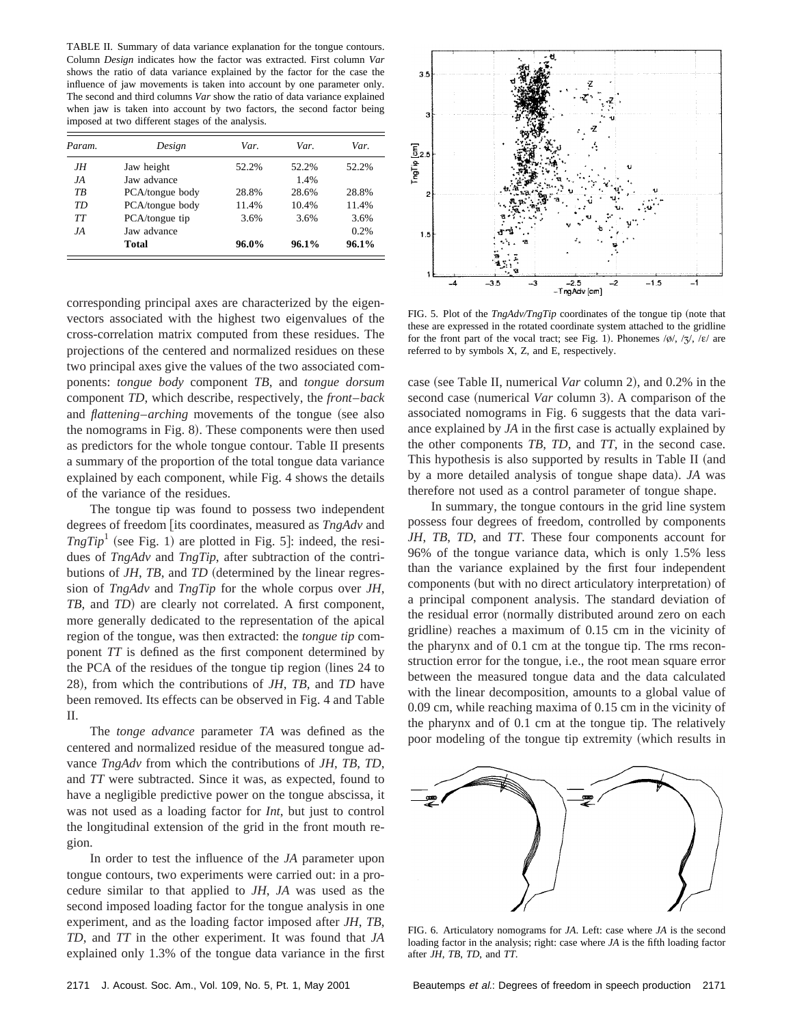TABLE II. Summary of data variance explanation for the tongue contours. Column *Design* indicates how the factor was extracted. First column *Var* shows the ratio of data variance explained by the factor for the case the influence of jaw movements is taken into account by one parameter only. The second and third columns *Var* show the ratio of data variance explained when jaw is taken into account by two factors, the second factor being imposed at two different stages of the analysis.

| Param. | Design          | Var.     | Var.  | Var.  |
|--------|-----------------|----------|-------|-------|
| JΗ     | Jaw height      | 52.2%    | 52.2% | 52.2% |
| JA.    | Jaw advance     |          | 1.4%  |       |
| ТB     | PCA/tongue body | 28.8%    | 28.6% | 28.8% |
| TD     | PCA/tongue body | 11.4%    | 10.4% | 11.4% |
| TТ     | PCA/tongue tip  | 3.6%     | 3.6%  | 3.6%  |
| JA.    | Jaw advance     |          |       | 0.2%  |
|        | Total           | $96.0\%$ | 96.1% | 96.1% |

corresponding principal axes are characterized by the eigenvectors associated with the highest two eigenvalues of the cross-correlation matrix computed from these residues. The projections of the centered and normalized residues on these two principal axes give the values of the two associated components: *tongue body* component *TB*, and *tongue dorsum* component *TD*, which describe, respectively, the *front*–*back* and *flattening–arching* movements of the tongue (see also the nomograms in Fig. 8). These components were then used as predictors for the whole tongue contour. Table II presents a summary of the proportion of the total tongue data variance explained by each component, while Fig. 4 shows the details of the variance of the residues.

The tongue tip was found to possess two independent degrees of freedom [its coordinates, measured as *TngAdv* and  $TngTip<sup>1</sup>$  (see Fig. 1) are plotted in Fig. 5]: indeed, the residues of *TngAdv* and *TngTip*, after subtraction of the contributions of *JH*, *TB*, and *TD* (determined by the linear regression of *TngAdv* and *TngTip* for the whole corpus over *JH*, *TB*, and *TD*) are clearly not correlated. A first component, more generally dedicated to the representation of the apical region of the tongue, was then extracted: the *tongue tip* component *TT* is defined as the first component determined by the PCA of the residues of the tongue tip region (lines 24 to 28), from which the contributions of *JH*, *TB*, and *TD* have been removed. Its effects can be observed in Fig. 4 and Table II.

The *tonge advance* parameter *TA* was defined as the centered and normalized residue of the measured tongue advance *TngAdv* from which the contributions of *JH*, *TB*, *TD*, and *TT* were subtracted. Since it was, as expected, found to have a negligible predictive power on the tongue abscissa, it was not used as a loading factor for *Int*, but just to control the longitudinal extension of the grid in the front mouth region.

In order to test the influence of the *JA* parameter upon tongue contours, two experiments were carried out: in a procedure similar to that applied to *JH*, *JA* was used as the second imposed loading factor for the tongue analysis in one experiment, and as the loading factor imposed after *JH*, *TB*, *TD*, and *TT* in the other experiment. It was found that *JA* explained only 1.3% of the tongue data variance in the first



FIG. 5. Plot of the *TngAdv/TngTip* coordinates of the tongue tip (note that these are expressed in the rotated coordinate system attached to the gridline for the front part of the vocal tract; see Fig. 1). Phonemes  $\frac{\partial}{\partial x}$ ,  $\frac{\partial}{\partial y}$ ,  $\frac{\partial}{\partial z}$  are referred to by symbols X, Z, and E, respectively.

case (see Table II, numerical *Var* column 2), and 0.2% in the second case (numerical *Var* column 3). A comparison of the associated nomograms in Fig. 6 suggests that the data variance explained by *JA* in the first case is actually explained by the other components *TB*, *TD*, and *TT*, in the second case. This hypothesis is also supported by results in Table II (and by a more detailed analysis of tongue shape data). *JA* was therefore not used as a control parameter of tongue shape.

In summary, the tongue contours in the grid line system possess four degrees of freedom, controlled by components *JH*, *TB*, *TD*, and *TT*. These four components account for 96% of the tongue variance data, which is only 1.5% less than the variance explained by the first four independent components (but with no direct articulatory interpretation) of a principal component analysis. The standard deviation of the residual error (normally distributed around zero on each gridline) reaches a maximum of 0.15 cm in the vicinity of the pharynx and of 0.1 cm at the tongue tip. The rms reconstruction error for the tongue, i.e., the root mean square error between the measured tongue data and the data calculated with the linear decomposition, amounts to a global value of 0.09 cm, while reaching maxima of 0.15 cm in the vicinity of the pharynx and of 0.1 cm at the tongue tip. The relatively poor modeling of the tongue tip extremity (which results in



FIG. 6. Articulatory nomograms for *JA*. Left: case where *JA* is the second loading factor in the analysis; right: case where *JA* is the fifth loading factor after *JH*, *TB*, *TD*, and *TT*.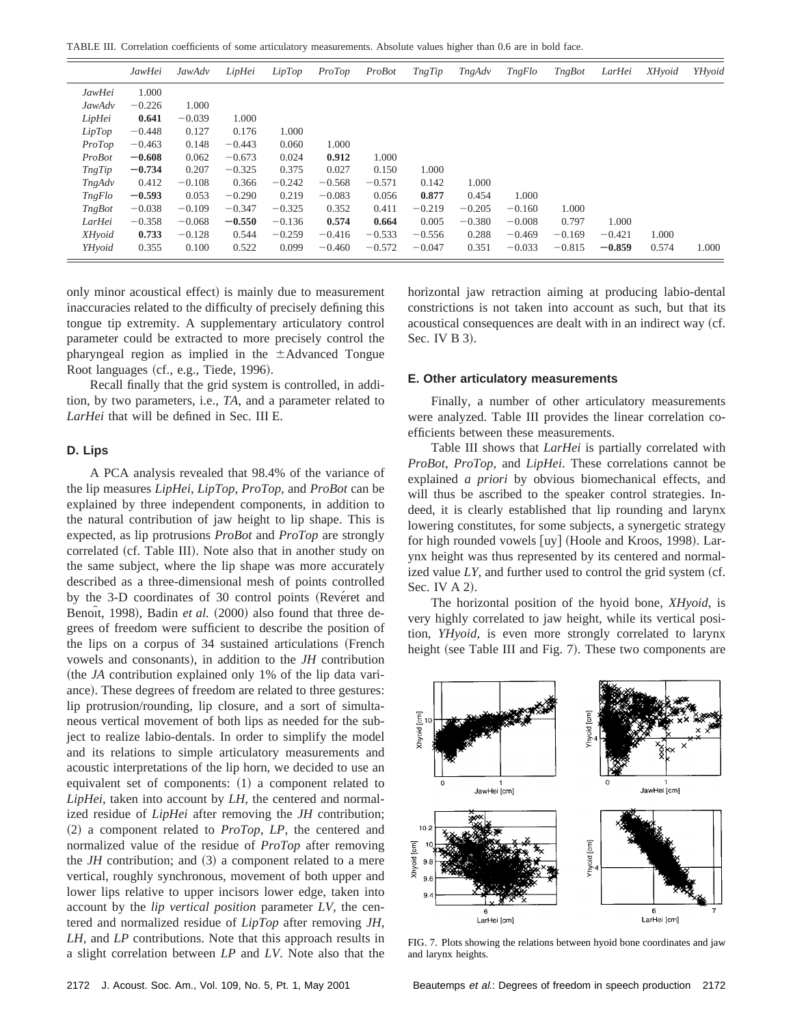TABLE III. Correlation coefficients of some articulatory measurements. Absolute values higher than 0.6 are in bold face.

|               | JawHei   | JawAdv   | LipHei   | LipTop   | ProTop   | ProBot   | TngTip   | TngAdv   | <i>TngFlo</i> | <b>TngBot</b> | LarHei   | XHyoid | YHvoid |
|---------------|----------|----------|----------|----------|----------|----------|----------|----------|---------------|---------------|----------|--------|--------|
| JawHei        | 1.000    |          |          |          |          |          |          |          |               |               |          |        |        |
| JawAdv        | $-0.226$ | 1.000    |          |          |          |          |          |          |               |               |          |        |        |
| LipHei        | 0.641    | $-0.039$ | 1.000    |          |          |          |          |          |               |               |          |        |        |
| LipTop        | $-0.448$ | 0.127    | 0.176    | 1.000    |          |          |          |          |               |               |          |        |        |
| ProTop        | $-0.463$ | 0.148    | $-0.443$ | 0.060    | 1.000    |          |          |          |               |               |          |        |        |
| ProBot        | $-0.608$ | 0.062    | $-0.673$ | 0.024    | 0.912    | 1.000    |          |          |               |               |          |        |        |
| TngTip        | $-0.734$ | 0.207    | $-0.325$ | 0.375    | 0.027    | 0.150    | 1.000    |          |               |               |          |        |        |
| TngAdv        | 0.412    | $-0.108$ | 0.366    | $-0.242$ | $-0.568$ | $-0.571$ | 0.142    | 1.000    |               |               |          |        |        |
| <i>TngFlo</i> | $-0.593$ | 0.053    | $-0.290$ | 0.219    | $-0.083$ | 0.056    | 0.877    | 0.454    | 1.000         |               |          |        |        |
| <b>TngBot</b> | $-0.038$ | $-0.109$ | $-0.347$ | $-0.325$ | 0.352    | 0.411    | $-0.219$ | $-0.205$ | $-0.160$      | 1.000         |          |        |        |
| LarHei        | $-0.358$ | $-0.068$ | $-0.550$ | $-0.136$ | 0.574    | 0.664    | 0.005    | $-0.380$ | $-0.008$      | 0.797         | 1.000    |        |        |
| XHyoid        | 0.733    | $-0.128$ | 0.544    | $-0.259$ | $-0.416$ | $-0.533$ | $-0.556$ | 0.288    | $-0.469$      | $-0.169$      | $-0.421$ | 1.000  |        |
| YHyoid        | 0.355    | 0.100    | 0.522    | 0.099    | $-0.460$ | $-0.572$ | $-0.047$ | 0.351    | $-0.033$      | $-0.815$      | $-0.859$ | 0.574  | 1.000  |

only minor acoustical effect) is mainly due to measurement inaccuracies related to the difficulty of precisely defining this tongue tip extremity. A supplementary articulatory control parameter could be extracted to more precisely control the pharyngeal region as implied in the  $\pm$ Advanced Tongue Root languages (cf., e.g., Tiede, 1996).

Recall finally that the grid system is controlled, in addition, by two parameters, i.e., *TA*, and a parameter related to *LarHei* that will be defined in Sec. III E.

### **D. Lips**

÷,

A PCA analysis revealed that 98.4% of the variance of the lip measures *LipHei*, *LipTop*, *ProTop*, and *ProBot* can be explained by three independent components, in addition to the natural contribution of jaw height to lip shape. This is expected, as lip protrusions *ProBot* and *ProTop* are strongly correlated (cf. Table III). Note also that in another study on the same subject, where the lip shape was more accurately described as a three-dimensional mesh of points controlled by the 3-D coordinates of 30 control points (Reveret and Benoît, 1998), Badin et al. (2000) also found that three degrees of freedom were sufficient to describe the position of the lips on a corpus of 34 sustained articulations (French vowels and consonants), in addition to the *JH* contribution (the *JA* contribution explained only 1% of the lip data variance). These degrees of freedom are related to three gestures: lip protrusion/rounding, lip closure, and a sort of simultaneous vertical movement of both lips as needed for the subject to realize labio-dentals. In order to simplify the model and its relations to simple articulatory measurements and acoustic interpretations of the lip horn, we decided to use an equivalent set of components:  $(1)$  a component related to *LipHei*, taken into account by *LH*, the centered and normalized residue of *LipHei* after removing the *JH* contribution; ~2! a component related to *ProTop*, *LP*, the centered and normalized value of the residue of *ProTop* after removing the  $JH$  contribution; and  $(3)$  a component related to a mere vertical, roughly synchronous, movement of both upper and lower lips relative to upper incisors lower edge, taken into account by the *lip vertical position* parameter *LV*, the centered and normalized residue of *LipTop* after removing *JH*, *LH*, and *LP* contributions. Note that this approach results in a slight correlation between *LP* and *LV*. Note also that the horizontal jaw retraction aiming at producing labio-dental constrictions is not taken into account as such, but that its acoustical consequences are dealt with in an indirect way (cf. Sec. IV B 3).

#### **E. Other articulatory measurements**

Finally, a number of other articulatory measurements were analyzed. Table III provides the linear correlation coefficients between these measurements.

Table III shows that *LarHei* is partially correlated with *ProBot*, *ProTop*, and *LipHei*. These correlations cannot be explained *a priori* by obvious biomechanical effects, and will thus be ascribed to the speaker control strategies. Indeed, it is clearly established that lip rounding and larynx lowering constitutes, for some subjects, a synergetic strategy for high rounded vowels  $[uy]$  (Hoole and Kroos, 1998). Larynx height was thus represented by its centered and normalized value  $LY$ , and further used to control the grid system (cf. Sec. IV  $A$  2).

The horizontal position of the hyoid bone, *XHyoid*, is very highly correlated to jaw height, while its vertical position, *YHyoid*, is even more strongly correlated to larynx height (see Table III and Fig. 7). These two components are



FIG. 7. Plots showing the relations between hyoid bone coordinates and jaw and larynx heights.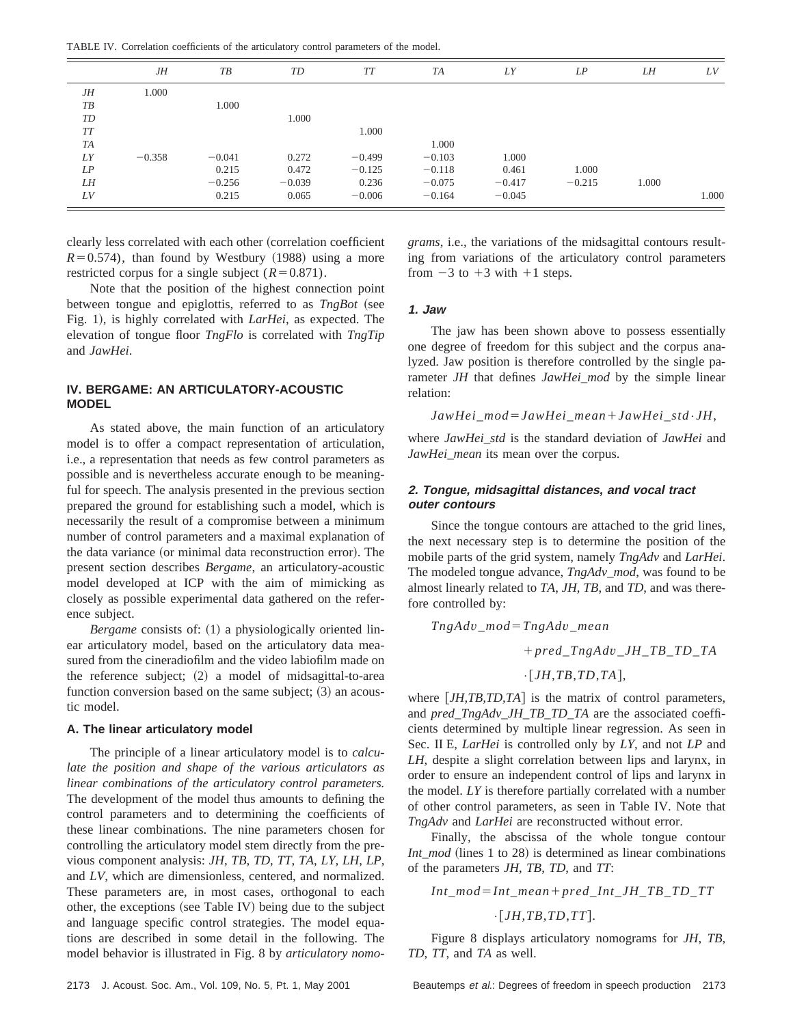TABLE IV. Correlation coefficients of the articulatory control parameters of the model.

|           | JН       | TB       | TD       | TT       | TA       | LY       | LP       | LH    | LV    |
|-----------|----------|----------|----------|----------|----------|----------|----------|-------|-------|
| <b>JH</b> | 1.000    |          |          |          |          |          |          |       |       |
| TB        |          | 1.000    |          |          |          |          |          |       |       |
| TD        |          |          | 1.000    |          |          |          |          |       |       |
| <b>TT</b> |          |          |          | 1.000    |          |          |          |       |       |
| <b>TA</b> |          |          |          |          | 1.000    |          |          |       |       |
| LY        | $-0.358$ | $-0.041$ | 0.272    | $-0.499$ | $-0.103$ | 1.000    |          |       |       |
| LP        |          | 0.215    | 0.472    | $-0.125$ | $-0.118$ | 0.461    | 1.000    |       |       |
| LH        |          | $-0.256$ | $-0.039$ | 0.236    | $-0.075$ | $-0.417$ | $-0.215$ | 1.000 |       |
| LV        |          | 0.215    | 0.065    | $-0.006$ | $-0.164$ | $-0.045$ |          |       | 1.000 |

clearly less correlated with each other (correlation coefficient  $R=0.574$ ), than found by Westbury (1988) using a more restricted corpus for a single subject  $(R=0.871)$ .

Note that the position of the highest connection point between tongue and epiglottis, referred to as *TngBot* (see Fig. 1), is highly correlated with *LarHei*, as expected. The elevation of tongue floor *TngFlo* is correlated with *TngTip* and *JawHei*.

## **IV. BERGAME: AN ARTICULATORY-ACOUSTIC MODEL**

As stated above, the main function of an articulatory model is to offer a compact representation of articulation, i.e., a representation that needs as few control parameters as possible and is nevertheless accurate enough to be meaningful for speech. The analysis presented in the previous section prepared the ground for establishing such a model, which is necessarily the result of a compromise between a minimum number of control parameters and a maximal explanation of the data variance (or minimal data reconstruction error). The present section describes *Bergame*, an articulatory-acoustic model developed at ICP with the aim of mimicking as closely as possible experimental data gathered on the reference subject.

*Bergame* consists of: (1) a physiologically oriented linear articulatory model, based on the articulatory data measured from the cineradiofilm and the video labiofilm made on the reference subject;  $(2)$  a model of midsagittal-to-area function conversion based on the same subject;  $(3)$  an acoustic model.

# **A. The linear articulatory model**

The principle of a linear articulatory model is to *calculate the position and shape of the various articulators as linear combinations of the articulatory control parameters.* The development of the model thus amounts to defining the control parameters and to determining the coefficients of these linear combinations. The nine parameters chosen for controlling the articulatory model stem directly from the previous component analysis: *JH*, *TB*, *TD*, *TT*, *TA*, *LY*, *LH*, *LP*, and *LV*, which are dimensionless, centered, and normalized. These parameters are, in most cases, orthogonal to each other, the exceptions (see Table IV) being due to the subject and language specific control strategies. The model equations are described in some detail in the following. The model behavior is illustrated in Fig. 8 by *articulatory nomo-* *grams*, i.e., the variations of the midsagittal contours resulting from variations of the articulatory control parameters from  $-3$  to  $+3$  with  $+1$  steps.

## **1. Jaw**

The jaw has been shown above to possess essentially one degree of freedom for this subject and the corpus analyzed. Jaw position is therefore controlled by the single parameter *JH* that defines *JawHei\_mod* by the simple linear relation:

*JawHei*\_*mod*5*JawHei*\_*mean*1*JawHei*\_*std*•*JH*,

where *JawHei\_std* is the standard deviation of *JawHei* and *JawHei\_mean* its mean over the corpus.

## **2. Tongue, midsagittal distances, and vocal tract outer contours**

Since the tongue contours are attached to the grid lines, the next necessary step is to determine the position of the mobile parts of the grid system, namely *TngAdv* and *LarHei*. The modeled tongue advance, *TngAdv\_mod*, was found to be almost linearly related to *TA*, *JH*, *TB*, and *TD*, and was therefore controlled by:

$$
TngAdv\_mod = TngAdv\_mean
$$
  
+
$$
pred\_TngAdv\_JH\_TB\_TD\_TA
$$
  
.
$$
\cdot [JH, TB, TD, TA],
$$

where  $[JH, TB, TD, TA]$  is the matrix of control parameters, and *pred\_TngAdv\_JH\_TB\_TD\_TA* are the associated coefficients determined by multiple linear regression. As seen in Sec. II E, *LarHei* is controlled only by *LY*, and not *LP* and *LH*, despite a slight correlation between lips and larynx, in order to ensure an independent control of lips and larynx in the model. *LY* is therefore partially correlated with a number of other control parameters, as seen in Table IV. Note that *TngAdv* and *LarHei* are reconstructed without error.

Finally, the abscissa of the whole tongue contour *Int\_mod* (lines 1 to 28) is determined as linear combinations of the parameters *JH*, *TB*, *TD*, and *TT*:

$$
Int\_mod=Int\_mean+pred\_Int\_JH\_TB\_TD\_TT
$$

 $\cdot$ [*JH*,*TB*,*TD*,*TT*].

Figure 8 displays articulatory nomograms for *JH*, *TB*, *TD*, *TT*, and *TA* as well.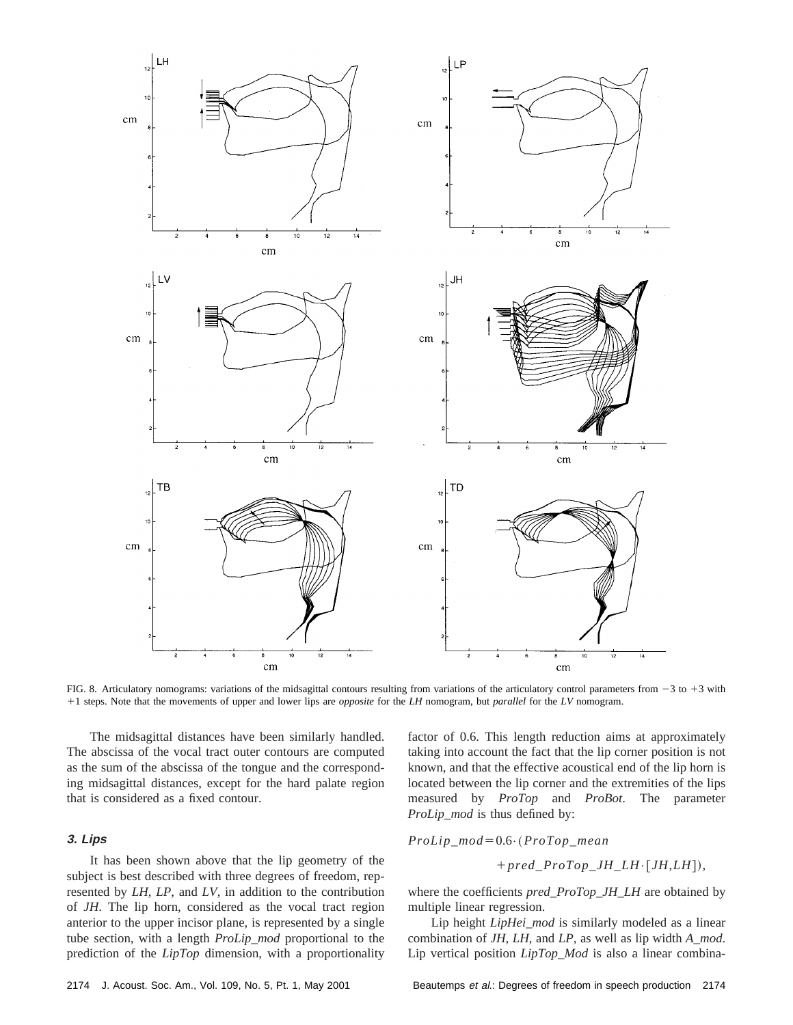

FIG. 8. Articulatory nomograms: variations of the midsagittal contours resulting from variations of the articulatory control parameters from  $-3$  to  $+3$  with 11 steps. Note that the movements of upper and lower lips are *opposite* for the *LH* nomogram, but *parallel* for the *LV* nomogram.

The midsagittal distances have been similarly handled. The abscissa of the vocal tract outer contours are computed as the sum of the abscissa of the tongue and the corresponding midsagittal distances, except for the hard palate region that is considered as a fixed contour.

## **3. Lips**

It has been shown above that the lip geometry of the subject is best described with three degrees of freedom, represented by *LH*, *LP*, and *LV*, in addition to the contribution of *JH*. The lip horn, considered as the vocal tract region anterior to the upper incisor plane, is represented by a single tube section, with a length *ProLip\_mod* proportional to the prediction of the *LipTop* dimension, with a proportionality factor of 0.6. This length reduction aims at approximately taking into account the fact that the lip corner position is not known, and that the effective acoustical end of the lip horn is located between the lip corner and the extremities of the lips measured by *ProTop* and *ProBot*. The parameter *ProLip\_mod* is thus defined by:

 $Prollip\_mod=0.6$ <sup>.</sup>  $(ProTop\_mean)$ 

$$
+ pred\_ProTop\_JH\_LH\!\cdot\! [JH,LH]),
$$

where the coefficients *pred\_ProTop\_JH\_LH* are obtained by multiple linear regression.

Lip height *LipHei\_mod* is similarly modeled as a linear combination of *JH*, *LH*, and *LP*, as well as lip width *A\_mod*. Lip vertical position *LipTop\_Mod* is also a linear combina-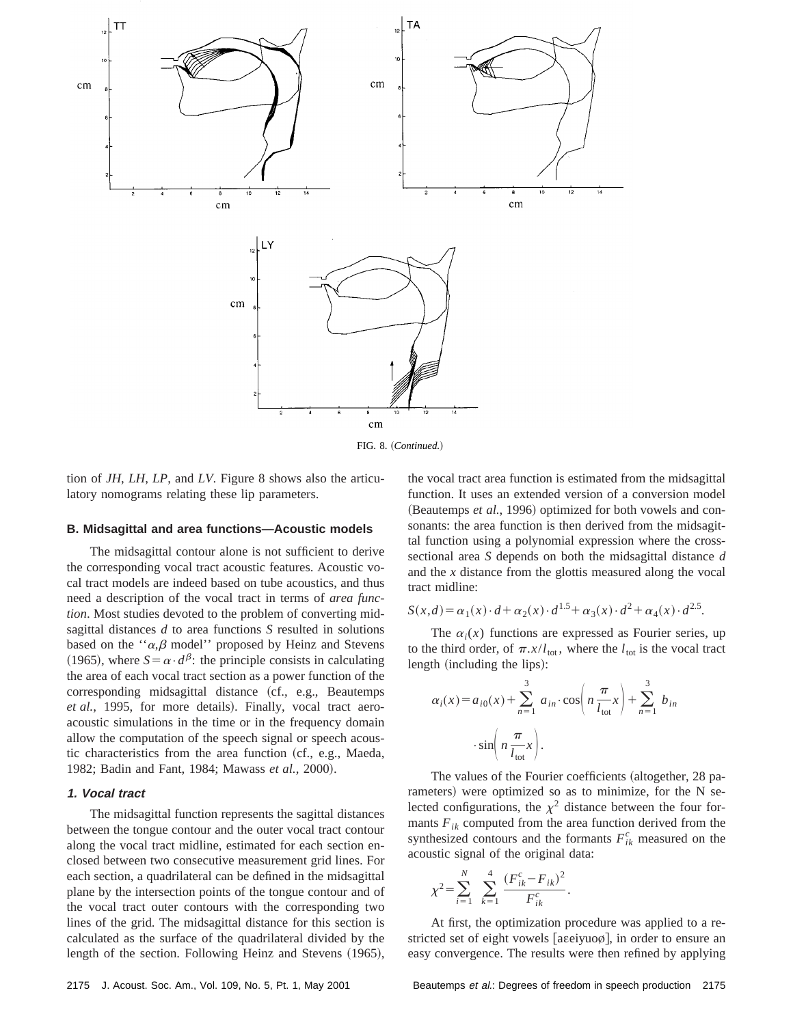

FIG. 8. (Continued.)

tion of *JH*, *LH*, *LP*, and *LV*. Figure 8 shows also the articulatory nomograms relating these lip parameters.

#### **B. Midsagittal and area functions—Acoustic models**

The midsagittal contour alone is not sufficient to derive the corresponding vocal tract acoustic features. Acoustic vocal tract models are indeed based on tube acoustics, and thus need a description of the vocal tract in terms of *area function*. Most studies devoted to the problem of converting midsagittal distances *d* to area functions *S* resulted in solutions based on the " $\alpha$ , $\beta$  model" proposed by Heinz and Stevens (1965), where  $S = \alpha \cdot d^{\beta}$ : the principle consists in calculating the area of each vocal tract section as a power function of the corresponding midsagittal distance (cf., e.g., Beautemps *et al.*, 1995, for more details). Finally, vocal tract aeroacoustic simulations in the time or in the frequency domain allow the computation of the speech signal or speech acoustic characteristics from the area function  $(cf., e.g., Maeda,$ 1982; Badin and Fant, 1984; Mawass et al., 2000).

## **1. Vocal tract**

The midsagittal function represents the sagittal distances between the tongue contour and the outer vocal tract contour along the vocal tract midline, estimated for each section enclosed between two consecutive measurement grid lines. For each section, a quadrilateral can be defined in the midsagittal plane by the intersection points of the tongue contour and of the vocal tract outer contours with the corresponding two lines of the grid. The midsagittal distance for this section is calculated as the surface of the quadrilateral divided by the length of the section. Following Heinz and Stevens (1965), the vocal tract area function is estimated from the midsagittal function. It uses an extended version of a conversion model (Beautemps *et al.*, 1996) optimized for both vowels and consonants: the area function is then derived from the midsagittal function using a polynomial expression where the crosssectional area *S* depends on both the midsagittal distance *d* and the *x* distance from the glottis measured along the vocal tract midline:

$$
S(x,d) = \alpha_1(x) \cdot d + \alpha_2(x) \cdot d^{1.5} + \alpha_3(x) \cdot d^2 + \alpha_4(x) \cdot d^{2.5}.
$$

The  $\alpha_i(x)$  functions are expressed as Fourier series, up to the third order, of  $\pi.x/l_{\text{tot}}$ , where the  $l_{\text{tot}}$  is the vocal tract length (including the lips):

$$
\alpha_i(x) = a_{i0}(x) + \sum_{n=1}^3 a_{in} \cdot \cos\left(n \frac{\pi}{l_{\text{tot}}} x\right) + \sum_{n=1}^3 b_{in}
$$

$$
\cdot \sin\left(n \frac{\pi}{l_{\text{tot}}} x\right).
$$

The values of the Fourier coefficients (altogether, 28 parameters) were optimized so as to minimize, for the N selected configurations, the  $\chi^2$  distance between the four formants  $F_{ik}$  computed from the area function derived from the synthesized contours and the formants  $F_{ik}^c$  measured on the acoustic signal of the original data:

$$
\chi^{2} = \sum_{i=1}^{N} \sum_{k=1}^{4} \frac{(F_{ik}^{c} - F_{ik})^{2}}{F_{ik}^{c}}.
$$

At first, the optimization procedure was applied to a restricted set of eight vowels [aɛeiyuoø], in order to ensure an easy convergence. The results were then refined by applying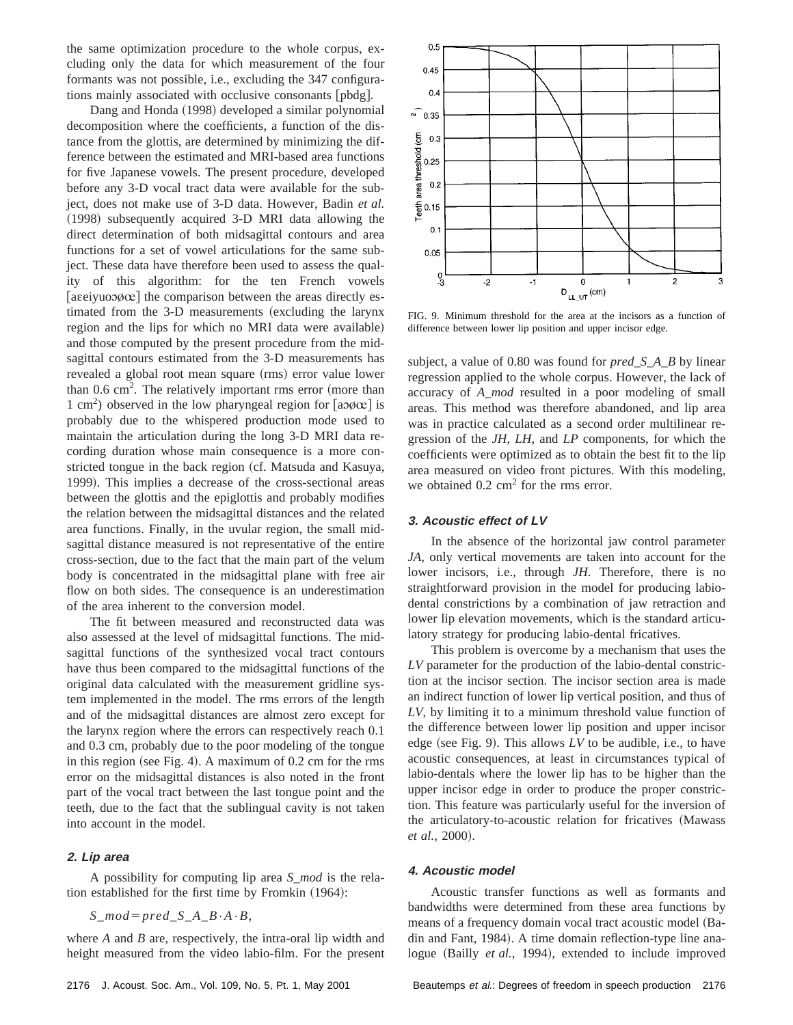the same optimization procedure to the whole corpus, excluding only the data for which measurement of the four formants was not possible, i.e., excluding the 347 configurations mainly associated with occlusive consonants [pbdg].

Dang and Honda (1998) developed a similar polynomial decomposition where the coefficients, a function of the distance from the glottis, are determined by minimizing the difference between the estimated and MRI-based area functions for five Japanese vowels. The present procedure, developed before any 3-D vocal tract data were available for the subject, does not make use of 3-D data. However, Badin *et al.* (1998) subsequently acquired 3-D MRI data allowing the direct determination of both midsagittal contours and area functions for a set of vowel articulations for the same subject. These data have therefore been used to assess the quality of this algorithm: for the ten French vowels [aseiyuooøœ] the comparison between the areas directly estimated from the 3-D measurements (excluding the larynx region and the lips for which no MRI data were available) and those computed by the present procedure from the midsagittal contours estimated from the 3-D measurements has revealed a global root mean square (rms) error value lower than  $0.6 \text{ cm}^2$ . The relatively important rms error (more than  $1 \text{ cm}^2$ ) observed in the low pharyngeal region for [ao $\phi \in \mathbb{R}^2$ ] is probably due to the whispered production mode used to maintain the articulation during the long 3-D MRI data recording duration whose main consequence is a more constricted tongue in the back region (cf. Matsuda and Kasuya, 1999). This implies a decrease of the cross-sectional areas between the glottis and the epiglottis and probably modifies the relation between the midsagittal distances and the related area functions. Finally, in the uvular region, the small midsagittal distance measured is not representative of the entire cross-section, due to the fact that the main part of the velum body is concentrated in the midsagittal plane with free air flow on both sides. The consequence is an underestimation of the area inherent to the conversion model.

The fit between measured and reconstructed data was also assessed at the level of midsagittal functions. The midsagittal functions of the synthesized vocal tract contours have thus been compared to the midsagittal functions of the original data calculated with the measurement gridline system implemented in the model. The rms errors of the length and of the midsagittal distances are almost zero except for the larynx region where the errors can respectively reach 0.1 and 0.3 cm, probably due to the poor modeling of the tongue in this region (see Fig. 4). A maximum of  $0.2$  cm for the rms error on the midsagittal distances is also noted in the front part of the vocal tract between the last tongue point and the teeth, due to the fact that the sublingual cavity is not taken into account in the model.

#### **2. Lip area**

A possibility for computing lip area *S\_mod* is the relation established for the first time by Fromkin  $(1964)$ :

 $S$ *\_mod*= $pred$ <sub>*\_S*\_*A*<sub>*\_B*</sub>·*A*·*B*,</sub>

where *A* and *B* are, respectively, the intra-oral lip width and height measured from the video labio-film. For the present



FIG. 9. Minimum threshold for the area at the incisors as a function of difference between lower lip position and upper incisor edge.

subject, a value of 0.80 was found for *pred\_S\_A\_B* by linear regression applied to the whole corpus. However, the lack of accuracy of *A\_mod* resulted in a poor modeling of small areas. This method was therefore abandoned, and lip area was in practice calculated as a second order multilinear regression of the *JH*, *LH*, and *LP* components, for which the coefficients were optimized as to obtain the best fit to the lip area measured on video front pictures. With this modeling, we obtained  $0.2 \text{ cm}^2$  for the rms error.

# **3. Acoustic effect of LV**

In the absence of the horizontal jaw control parameter *JA*, only vertical movements are taken into account for the lower incisors, i.e., through *JH*. Therefore, there is no straightforward provision in the model for producing labiodental constrictions by a combination of jaw retraction and lower lip elevation movements, which is the standard articulatory strategy for producing labio-dental fricatives.

This problem is overcome by a mechanism that uses the *LV* parameter for the production of the labio-dental constriction at the incisor section. The incisor section area is made an indirect function of lower lip vertical position, and thus of *LV*, by limiting it to a minimum threshold value function of the difference between lower lip position and upper incisor edge (see Fig. 9). This allows  $LV$  to be audible, i.e., to have acoustic consequences, at least in circumstances typical of labio-dentals where the lower lip has to be higher than the upper incisor edge in order to produce the proper constriction. This feature was particularly useful for the inversion of the articulatory-to-acoustic relation for fricatives (Mawass *et al.*, 2000).

#### **4. Acoustic model**

Acoustic transfer functions as well as formants and bandwidths were determined from these area functions by means of a frequency domain vocal tract acoustic model (Badin and Fant, 1984). A time domain reflection-type line analogue (Bailly *et al.*, 1994), extended to include improved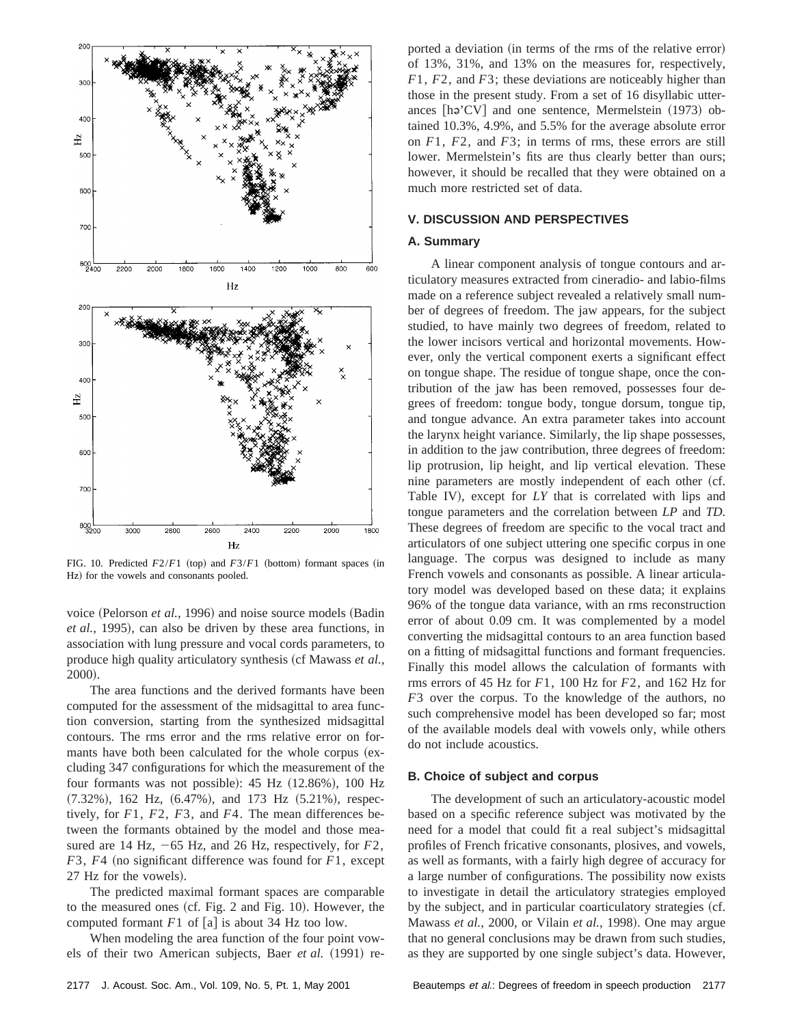

FIG. 10. Predicted  $F2/F1$  (top) and  $F3/F1$  (bottom) formant spaces (in Hz) for the vowels and consonants pooled.

voice (Pelorson *et al.*, 1996) and noise source models (Badin *et al.*, 1995), can also be driven by these area functions, in association with lung pressure and vocal cords parameters, to produce high quality articulatory synthesis (cf Mawass *et al.*, 2000).

The area functions and the derived formants have been computed for the assessment of the midsagittal to area function conversion, starting from the synthesized midsagittal contours. The rms error and the rms relative error on formants have both been calculated for the whole corpus (excluding 347 configurations for which the measurement of the four formants was not possible):  $45$  Hz  $(12.86\%)$ ,  $100$  Hz  $(7.32\%)$ , 162 Hz,  $(6.47\%)$ , and 173 Hz  $(5.21\%)$ , respectively, for *F*1, *F*2, *F*3, and *F*4. The mean differences between the formants obtained by the model and those measured are 14 Hz,  $-65$  Hz, and 26 Hz, respectively, for  $F2$ ,  $F3$ ,  $F4$  (no significant difference was found for  $F1$ , except 27 Hz for the vowels).

The predicted maximal formant spaces are comparable to the measured ones  $(cf. Fig. 2 and Fig. 10)$ . However, the computed formant  $F1$  of [a] is about 34 Hz too low.

When modeling the area function of the four point vowels of their two American subjects, Baer et al. (1991) re-

# **V. DISCUSSION AND PERSPECTIVES**

#### **A. Summary**

A linear component analysis of tongue contours and articulatory measures extracted from cineradio- and labio-films made on a reference subject revealed a relatively small number of degrees of freedom. The jaw appears, for the subject studied, to have mainly two degrees of freedom, related to the lower incisors vertical and horizontal movements. However, only the vertical component exerts a significant effect on tongue shape. The residue of tongue shape, once the contribution of the jaw has been removed, possesses four degrees of freedom: tongue body, tongue dorsum, tongue tip, and tongue advance. An extra parameter takes into account the larynx height variance. Similarly, the lip shape possesses, in addition to the jaw contribution, three degrees of freedom: lip protrusion, lip height, and lip vertical elevation. These nine parameters are mostly independent of each other (cf. Table IV), except for LY that is correlated with lips and tongue parameters and the correlation between *LP* and *TD*. These degrees of freedom are specific to the vocal tract and articulators of one subject uttering one specific corpus in one language. The corpus was designed to include as many French vowels and consonants as possible. A linear articulatory model was developed based on these data; it explains 96% of the tongue data variance, with an rms reconstruction error of about 0.09 cm. It was complemented by a model converting the midsagittal contours to an area function based on a fitting of midsagittal functions and formant frequencies. Finally this model allows the calculation of formants with rms errors of 45 Hz for *F*1, 100 Hz for *F*2, and 162 Hz for *F*3 over the corpus. To the knowledge of the authors, no such comprehensive model has been developed so far; most of the available models deal with vowels only, while others do not include acoustics.

#### **B. Choice of subject and corpus**

The development of such an articulatory-acoustic model based on a specific reference subject was motivated by the need for a model that could fit a real subject's midsagittal profiles of French fricative consonants, plosives, and vowels, as well as formants, with a fairly high degree of accuracy for a large number of configurations. The possibility now exists to investigate in detail the articulatory strategies employed by the subject, and in particular coarticulatory strategies (cf. Mawass *et al.*, 2000, or Vilain *et al.*, 1998). One may argue that no general conclusions may be drawn from such studies, as they are supported by one single subject's data. However,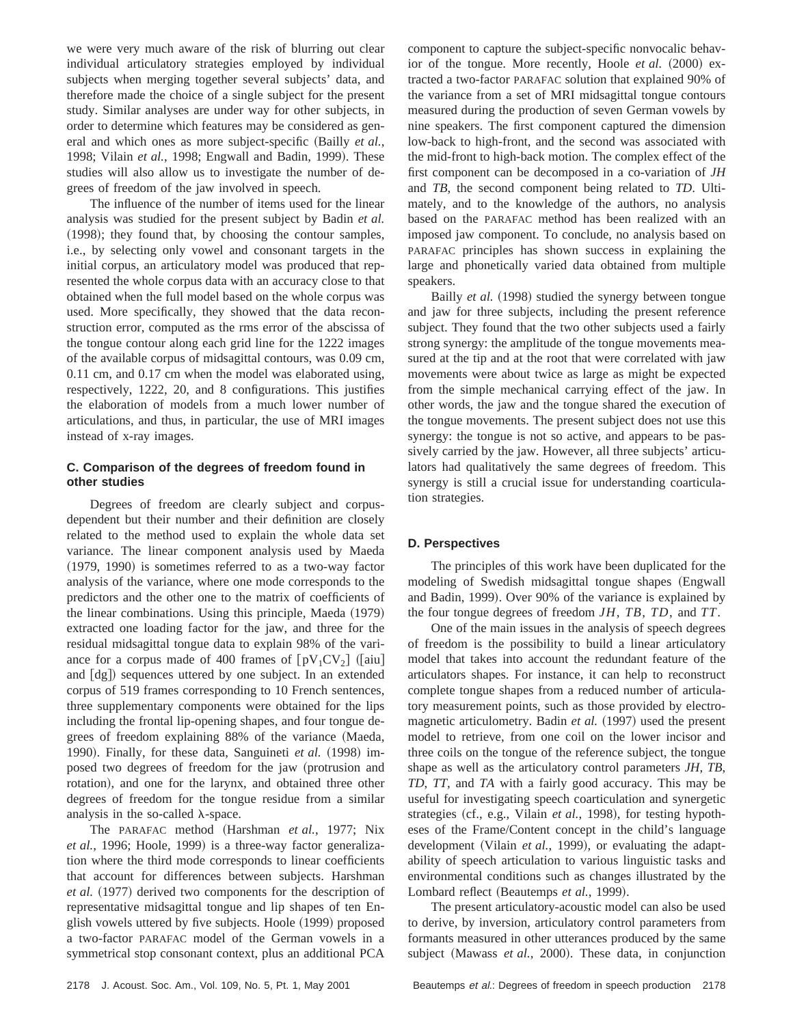we were very much aware of the risk of blurring out clear individual articulatory strategies employed by individual subjects when merging together several subjects' data, and therefore made the choice of a single subject for the present study. Similar analyses are under way for other subjects, in order to determine which features may be considered as general and which ones as more subject-specific (Bailly *et al.*, 1998; Vilain et al., 1998; Engwall and Badin, 1999). These studies will also allow us to investigate the number of degrees of freedom of the jaw involved in speech.

The influence of the number of items used for the linear analysis was studied for the present subject by Badin *et al.*  $(1998)$ ; they found that, by choosing the contour samples, i.e., by selecting only vowel and consonant targets in the initial corpus, an articulatory model was produced that represented the whole corpus data with an accuracy close to that obtained when the full model based on the whole corpus was used. More specifically, they showed that the data reconstruction error, computed as the rms error of the abscissa of the tongue contour along each grid line for the 1222 images of the available corpus of midsagittal contours, was 0.09 cm, 0.11 cm, and 0.17 cm when the model was elaborated using, respectively, 1222, 20, and 8 configurations. This justifies the elaboration of models from a much lower number of articulations, and thus, in particular, the use of MRI images instead of x-ray images.

# **C. Comparison of the degrees of freedom found in other studies**

Degrees of freedom are clearly subject and corpusdependent but their number and their definition are closely related to the method used to explain the whole data set variance. The linear component analysis used by Maeda  $(1979, 1990)$  is sometimes referred to as a two-way factor analysis of the variance, where one mode corresponds to the predictors and the other one to the matrix of coefficients of the linear combinations. Using this principle, Maeda (1979) extracted one loading factor for the jaw, and three for the residual midsagittal tongue data to explain 98% of the variance for a corpus made of 400 frames of  $[pV_1CV_2]$  ([aiu] and [dg]) sequences uttered by one subject. In an extended corpus of 519 frames corresponding to 10 French sentences, three supplementary components were obtained for the lips including the frontal lip-opening shapes, and four tongue degrees of freedom explaining 88% of the variance (Maeda, 1990). Finally, for these data, Sanguineti *et al.* (1998) imposed two degrees of freedom for the jaw (protrusion and rotation), and one for the larynx, and obtained three other degrees of freedom for the tongue residue from a similar analysis in the so-called  $\lambda$ -space.

The PARAFAC method (Harshman *et al.*, 1977; Nix *et al.*, 1996; Hoole, 1999) is a three-way factor generalization where the third mode corresponds to linear coefficients that account for differences between subjects. Harshman *et al.* (1977) derived two components for the description of representative midsagittal tongue and lip shapes of ten English vowels uttered by five subjects. Hoole (1999) proposed a two-factor PARAFAC model of the German vowels in a symmetrical stop consonant context, plus an additional PCA component to capture the subject-specific nonvocalic behavior of the tongue. More recently, Hoole *et al.* (2000) extracted a two-factor PARAFAC solution that explained 90% of the variance from a set of MRI midsagittal tongue contours measured during the production of seven German vowels by nine speakers. The first component captured the dimension low-back to high-front, and the second was associated with the mid-front to high-back motion. The complex effect of the first component can be decomposed in a co-variation of *JH* and *TB*, the second component being related to *TD*. Ultimately, and to the knowledge of the authors, no analysis based on the PARAFAC method has been realized with an imposed jaw component. To conclude, no analysis based on PARAFAC principles has shown success in explaining the large and phonetically varied data obtained from multiple speakers.

Bailly *et al.* (1998) studied the synergy between tongue and jaw for three subjects, including the present reference subject. They found that the two other subjects used a fairly strong synergy: the amplitude of the tongue movements measured at the tip and at the root that were correlated with jaw movements were about twice as large as might be expected from the simple mechanical carrying effect of the jaw. In other words, the jaw and the tongue shared the execution of the tongue movements. The present subject does not use this synergy: the tongue is not so active, and appears to be passively carried by the jaw. However, all three subjects' articulators had qualitatively the same degrees of freedom. This synergy is still a crucial issue for understanding coarticulation strategies.

# **D. Perspectives**

The principles of this work have been duplicated for the modeling of Swedish midsagittal tongue shapes (Engwall and Badin, 1999). Over 90% of the variance is explained by the four tongue degrees of freedom *JH*, *TB*, *TD*, and *TT*.

One of the main issues in the analysis of speech degrees of freedom is the possibility to build a linear articulatory model that takes into account the redundant feature of the articulators shapes. For instance, it can help to reconstruct complete tongue shapes from a reduced number of articulatory measurement points, such as those provided by electromagnetic articulometry. Badin *et al.* (1997) used the present model to retrieve, from one coil on the lower incisor and three coils on the tongue of the reference subject, the tongue shape as well as the articulatory control parameters *JH*, *TB*, *TD*, *TT*, and *TA* with a fairly good accuracy. This may be useful for investigating speech coarticulation and synergetic strategies (cf., e.g., Vilain *et al.*, 1998), for testing hypotheses of the Frame/Content concept in the child's language development (Vilain *et al.*, 1999), or evaluating the adaptability of speech articulation to various linguistic tasks and environmental conditions such as changes illustrated by the Lombard reflect (Beautemps *et al.*, 1999).

The present articulatory-acoustic model can also be used to derive, by inversion, articulatory control parameters from formants measured in other utterances produced by the same subject (Mawass *et al.*, 2000). These data, in conjunction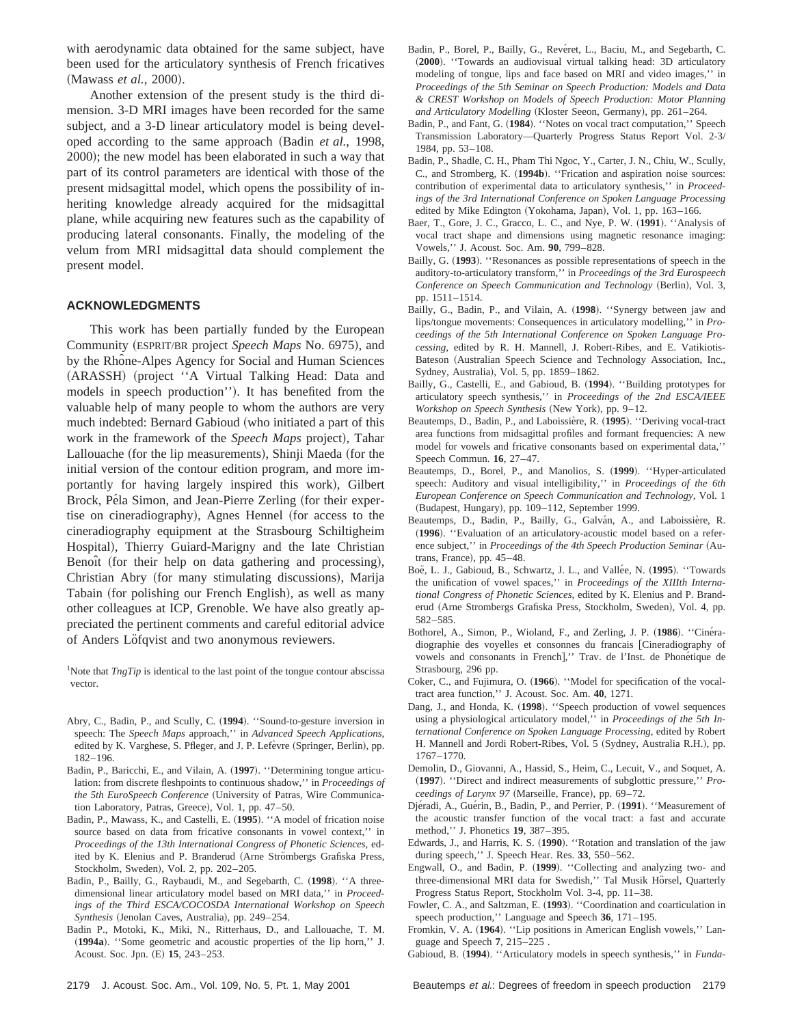with aerodynamic data obtained for the same subject, have been used for the articulatory synthesis of French fricatives (Mawass *et al.*, 2000).

Another extension of the present study is the third dimension. 3-D MRI images have been recorded for the same subject, and a 3-D linear articulatory model is being developed according to the same approach (Badin *et al.*, 1998, 2000); the new model has been elaborated in such a way that part of its control parameters are identical with those of the present midsagittal model, which opens the possibility of inheriting knowledge already acquired for the midsagittal plane, while acquiring new features such as the capability of producing lateral consonants. Finally, the modeling of the velum from MRI midsagittal data should complement the present model.

#### **ACKNOWLEDGMENTS**

This work has been partially funded by the European Community (ESPRIT/BR project *Speech Maps* No. 6975), and by the Rhône-Alpes Agency for Social and Human Sciences (ARASSH) (project "A Virtual Talking Head: Data and models in speech production''). It has benefited from the valuable help of many people to whom the authors are very much indebted: Bernard Gabioud (who initiated a part of this work in the framework of the *Speech Maps* project), Tahar Lallouache (for the lip measurements), Shinji Maeda (for the initial version of the contour edition program, and more importantly for having largely inspired this work), Gilbert Brock, Péla Simon, and Jean-Pierre Zerling (for their expertise on cineradiography), Agnes Hennel (for access to the cineradiography equipment at the Strasbourg Schiltigheim Hospital), Thierry Guiard-Marigny and the late Christian Benoît (for their help on data gathering and processing), Christian Abry (for many stimulating discussions), Marija Tabain (for polishing our French English), as well as many other colleagues at ICP, Grenoble. We have also greatly appreciated the pertinent comments and careful editorial advice of Anders Löfqvist and two anonymous reviewers.

<sup>1</sup>Note that *TngTip* is identical to the last point of the tongue contour abscissa vector.

- Abry, C., Badin, P., and Scully, C. (1994). "Sound-to-gesture inversion in speech: The *Speech Maps* approach,'' in *Advanced Speech Applications*, edited by K. Varghese, S. Pfleger, and J. P. Lefèvre (Springer, Berlin), pp. 182–196.
- Badin, P., Baricchi, E., and Vilain, A. (1997). "Determining tongue articulation: from discrete fleshpoints to continuous shadow,'' in *Proceedings of the 5th EuroSpeech Conference* (University of Patras, Wire Communication Laboratory, Patras, Greece), Vol. 1, pp. 47–50.
- Badin, P., Mawass, K., and Castelli, E. (1995). "A model of frication noise source based on data from fricative consonants in vowel context,'' in *Proceedings of the 13th International Congress of Phonetic Sciences,* edited by K. Elenius and P. Branderud (Arne Strömbergs Grafiska Press, Stockholm, Sweden), Vol. 2, pp. 202-205.
- Badin, P., Bailly, G., Raybaudi, M., and Segebarth, C. ~**1998**!. ''A threedimensional linear articulatory model based on MRI data,'' in *Proceedings of the Third ESCA/COCOSDA International Workshop on Speech Synthesis* (Jenolan Caves, Australia), pp. 249-254.
- Badin P., Motoki, K., Miki, N., Ritterhaus, D., and Lallouache, T. M. ~**1994a**!. ''Some geometric and acoustic properties of the lip horn,'' J. Acoust. Soc. Jpn. (E) **15**, 243–253.
- Badin, P., Borel, P., Bailly, G., Revéret, L., Baciu, M., and Segebarth, C. ~**2000**!. ''Towards an audiovisual virtual talking head: 3D articulatory modeling of tongue, lips and face based on MRI and video images,'' in *Proceedings of the 5th Seminar on Speech Production: Models and Data & CREST Workshop on Models of Speech Production: Motor Planning* and Articulatory Modelling (Kloster Seeon, Germany), pp. 261-264.
- Badin, P., and Fant, G. (1984). "Notes on vocal tract computation," Speech Transmission Laboratory—Quarterly Progress Status Report Vol. 2-3/ 1984, pp. 53–108.
- Badin, P., Shadle, C. H., Pham Thi Ngoc, Y., Carter, J. N., Chiu, W., Scully, C., and Stromberg, K. (1994b). "Frication and aspiration noise sources: contribution of experimental data to articulatory synthesis,'' in *Proceedings of the 3rd International Conference on Spoken Language Processing* edited by Mike Edington (Yokohama, Japan), Vol. 1, pp. 163-166.
- Baer, T., Gore, J. C., Gracco, L. C., and Nye, P. W. ~**1991**!. ''Analysis of vocal tract shape and dimensions using magnetic resonance imaging: Vowels,'' J. Acoust. Soc. Am. **90**, 799–828.
- Bailly, G. (1993). "Resonances as possible representations of speech in the auditory-to-articulatory transform,'' in *Proceedings of the 3rd Eurospeech Conference on Speech Communication and Technology* (Berlin), Vol. 3, pp. 1511–1514.
- Bailly, G., Badin, P., and Vilain, A. (1998). "Synergy between jaw and lips/tongue movements: Consequences in articulatory modelling,'' in *Proceedings of the 5th International Conference on Spoken Language Processing*, edited by R. H. Mannell, J. Robert-Ribes, and E. Vatikiotis-Bateson (Australian Speech Science and Technology Association, Inc., Sydney, Australia), Vol. 5, pp. 1859-1862.
- Bailly, G., Castelli, E., and Gabioud, B. (1994). "Building prototypes for articulatory speech synthesis,'' in *Proceedings of the 2nd ESCA/IEEE Workshop on Speech Synthesis* (New York), pp. 9–12.
- Beautemps, D., Badin, P., and Laboissiere, R. (1995). "Deriving vocal-tract area functions from midsagittal profiles and formant frequencies: A new model for vowels and fricative consonants based on experimental data,'' Speech Commun. **16**, 27–47.
- Beautemps, D., Borel, P., and Manolios, S. ~**1999**!. ''Hyper-articulated speech: Auditory and visual intelligibility,'' in *Proceedings of the 6th European Conference on Speech Communication and Technology*, Vol. 1 (Budapest, Hungary), pp. 109–112, September 1999.
- Beautemps, D., Badin, P., Bailly, G., Galván, A., and Laboissière, R. (1996). "Evaluation of an articulatory-acoustic model based on a reference subject," in *Proceedings of the 4th Speech Production Seminar* (Autrans, France), pp.  $45-48$ .
- Boë, L. J., Gabioud, B., Schwartz, J. L., and Vallée, N. (1995). ''Towards the unification of vowel spaces,'' in *Proceedings of the XIIIth International Congress of Phonetic Sciences*, edited by K. Elenius and P. Branderud (Arne Strombergs Grafiska Press, Stockholm, Sweden), Vol. 4, pp. 582–585.
- Bothorel, A., Simon, P., Wioland, F., and Zerling, J. P. (1986). "Cineradiographie des voyelles et consonnes du francais [Cineradiography of vowels and consonants in French]," Trav. de l'Inst. de Phonétique de Strasbourg, 296 pp.
- Coker, C., and Fujimura, O. (1966). "Model for specification of the vocaltract area function,'' J. Acoust. Soc. Am. **40**, 1271.
- Dang, J., and Honda, K. (1998). "Speech production of vowel sequences using a physiological articulatory model,'' in *Proceedings of the 5th International Conference on Spoken Language Processing,* edited by Robert H. Mannell and Jordi Robert-Ribes, Vol. 5 (Sydney, Australia R.H.), pp. 1767–1770.
- Demolin, D., Giovanni, A., Hassid, S., Heim, C., Lecuit, V., and Soquet, A. ~**1997**!. ''Direct and indirect measurements of subglottic pressure,'' *Proceedings of Larynx 97* (Marseille, France), pp. 69–72.
- Djéradi, A., Guérin, B., Badin, P., and Perrier, P. (1991). "Measurement of the acoustic transfer function of the vocal tract: a fast and accurate method,'' J. Phonetics **19**, 387–395.
- Edwards, J., and Harris, K. S.  $(1990)$ . "Rotation and translation of the jaw during speech,'' J. Speech Hear. Res. **33**, 550–562.
- Engwall, O., and Badin, P. (1999). "Collecting and analyzing two- and three-dimensional MRI data for Swedish," Tal Musik Hörsel, Quarterly Progress Status Report, Stockholm Vol. 3-4, pp. 11–38.
- Fowler, C. A., and Saltzman, E. (1993). "Coordination and coarticulation in speech production,'' Language and Speech **36**, 171–195.
- Fromkin, V. A. (1964). "Lip positions in American English vowels," Language and Speech **7**, 215–225 .
- Gabioud, B. (1994). "Articulatory models in speech synthesis," in *Funda*-